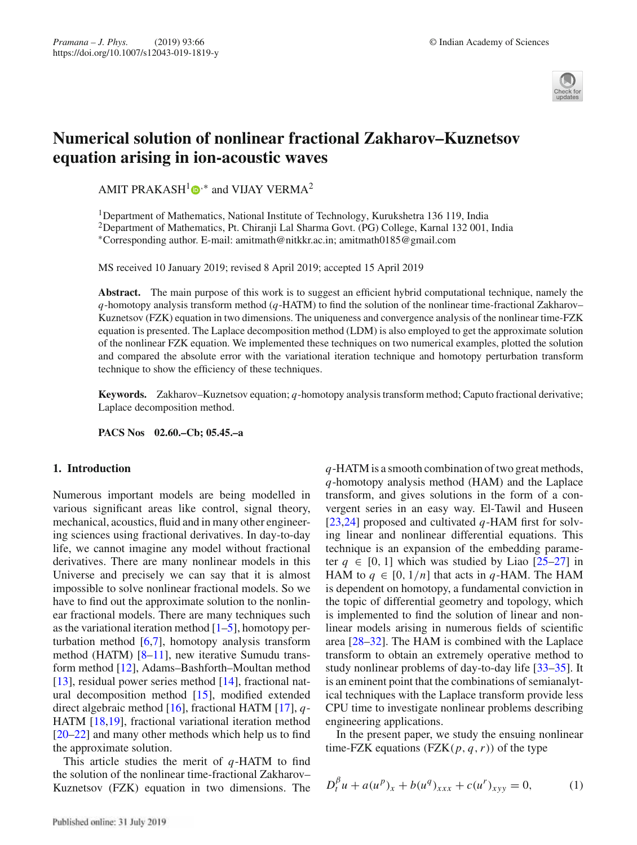

# **Numerical solution of nonlinear fractional Zakharov–Kuznetsov equation arising in ion-acoustic waves**

AMIT PRAKASH<sup>1</sup> $\bullet$ <sup>\*</sup> and VIJAY VERMA<sup>2</sup>

<sup>1</sup>Department of Mathematics, National Institute of Technology, Kurukshetra 136 119, India <sup>2</sup>Department of Mathematics, Pt. Chiranji Lal Sharma Govt. (PG) College, Karnal 132 001, India ∗Corresponding author. E-mail: amitmath@nitkkr.ac.in; amitmath0185@gmail.com

MS received 10 January 2019; revised 8 April 2019; accepted 15 April 2019

**Abstract.** The main purpose of this work is to suggest an efficient hybrid computational technique, namely the *q*-homotopy analysis transform method (*q*-HATM) to find the solution of the nonlinear time-fractional Zakharov– Kuznetsov (FZK) equation in two dimensions. The uniqueness and convergence analysis of the nonlinear time-FZK equation is presented. The Laplace decomposition method (LDM) is also employed to get the approximate solution of the nonlinear FZK equation. We implemented these techniques on two numerical examples, plotted the solution and compared the absolute error with the variational iteration technique and homotopy perturbation transform technique to show the efficiency of these techniques.

**Keywords.** Zakharov–Kuznetsov equation; *q*-homotopy analysis transform method; Caputo fractional derivative; Laplace decomposition method.

**PACS Nos 02.60.–Cb; 05.45.–a**

## **1. Introduction**

Numerous important models are being modelled in various significant areas like control, signal theory, mechanical, acoustics, fluid and in many other engineering sciences using fractional derivatives. In day-to-day life, we cannot imagine any model without fractional derivatives. There are many nonlinear models in this Universe and precisely we can say that it is almost impossible to solve nonlinear fractional models. So we have to find out the approximate solution to the nonlinear fractional models. There are many techniques such as the variational iteration method  $[1–5]$ , homotopy perturbation method  $[6,7]$ , homotopy analysis transform method (HATM) [8–11], new iterative Sumudu transform method [12], Adams–Bashforth–Moultan method [13], residual power series method [14], fractional natural decomposition method [15], modified extended direct algebraic method [16], fractional HATM [17], *q*-HATM [18,19], fractional variational iteration method [20–22] and many other methods which help us to find the approximate solution.

This article studies the merit of *q*-HATM to find the solution of the nonlinear time-fractional Zakharov– Kuznetsov (FZK) equation in two dimensions. The *q*-HATM is a smooth combination of two great methods, *q*-homotopy analysis method (HAM) and the Laplace transform, and gives solutions in the form of a convergent series in an easy way. El-Tawil and Huseen [23,24] proposed and cultivated *q*-HAM first for solving linear and nonlinear differential equations. This technique is an expansion of the embedding parameter  $q \in [0, 1]$  which was studied by Liao  $[25-27]$  in HAM to  $q \in [0, 1/n]$  that acts in  $q$ -HAM. The HAM is dependent on homotopy, a fundamental conviction in the topic of differential geometry and topology, which is implemented to find the solution of linear and nonlinear models arising in numerous fields of scientific area [28–32]. The HAM is combined with the Laplace transform to obtain an extremely operative method to study nonlinear problems of day-to-day life [33–35]. It is an eminent point that the combinations of semianalytical techniques with the Laplace transform provide less CPU time to investigate nonlinear problems describing engineering applications.

In the present paper, we study the ensuing nonlinear time-FZK equations (FZK $(p, q, r)$ ) of the type

$$
D_t^{\beta} u + a(u^p)_x + b(u^q)_{xxx} + c(u^r)_{xyy} = 0,
$$
 (1)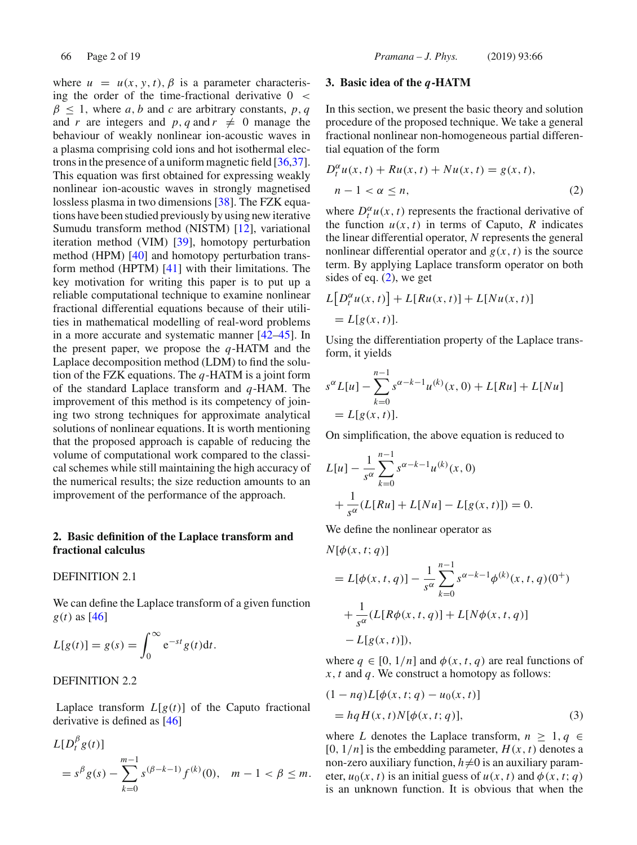where  $u = u(x, y, t), \beta$  is a parameter characterising the order of the time-fractional derivative  $0 <$  $\beta \leq 1$ , where *a*, *b* and *c* are arbitrary constants, *p*, *q* and *r* are integers and *p*, *q* and  $r \neq 0$  manage the behaviour of weakly nonlinear ion-acoustic waves in a plasma comprising cold ions and hot isothermal electrons in the presence of a uniform magnetic field [36,37]. This equation was first obtained for expressing weakly nonlinear ion-acoustic waves in strongly magnetised lossless plasma in two dimensions [38]. The FZK equations have been studied previously by using new iterative Sumudu transform method (NISTM) [12], variational iteration method (VIM) [39], homotopy perturbation method (HPM) [40] and homotopy perturbation transform method (HPTM) [41] with their limitations. The key motivation for writing this paper is to put up a reliable computational technique to examine nonlinear fractional differential equations because of their utilities in mathematical modelling of real-word problems in a more accurate and systematic manner [42–45]. In the present paper, we propose the *q*-HATM and the Laplace decomposition method (LDM) to find the solution of the FZK equations. The *q*-HATM is a joint form of the standard Laplace transform and *q*-HAM. The improvement of this method is its competency of joining two strong techniques for approximate analytical solutions of nonlinear equations. It is worth mentioning that the proposed approach is capable of reducing the volume of computational work compared to the classical schemes while still maintaining the high accuracy of the numerical results; the size reduction amounts to an improvement of the performance of the approach.

## **2. Basic definition of the Laplace transform and fractional calculus**

## DEFINITION 2.1

We can define the Laplace transform of a given function *g*(*t*) as [46]

$$
L[g(t)] = g(s) = \int_0^\infty e^{-st} g(t) dt.
$$

## DEFINITION 2.2

Laplace transform  $L[g(t)]$  of the Caputo fractional derivative is defined as [46]

$$
L[D_t^{\beta} g(t)]
$$
  
=  $s^{\beta} g(s) - \sum_{k=0}^{m-1} s^{(\beta - k - 1)} f^{(k)}(0), \quad m - 1 < \beta \le m.$ 

## **3. Basic idea of the** *q***-HATM**

In this section, we present the basic theory and solution procedure of the proposed technique. We take a general fractional nonlinear non-homogeneous partial differential equation of the form

$$
D_t^{\alpha}u(x,t) + Ru(x,t) + Nu(x,t) = g(x,t),
$$
  
\n
$$
n - 1 < \alpha \le n,
$$
\n
$$
(2)
$$

where  $D_t^{\alpha} u(x, t)$  represents the fractional derivative of the function  $u(x, t)$  in terms of Caputo, *R* indicates the linear differential operator, *N* represents the general nonlinear differential operator and  $g(x, t)$  is the source term. By applying Laplace transform operator on both sides of eq. (2), we get

$$
L[D_t^{\alpha}u(x, t)] + L[Ru(x, t)] + L[Nu(x, t)]
$$
  
= L[g(x, t)].

Using the differentiation property of the Laplace transform, it yields

$$
s^{\alpha}L[u] - \sum_{k=0}^{n-1} s^{\alpha-k-1}u^{(k)}(x, 0) + L[Ru] + L[Nu]
$$
  
=  $L[g(x, t)].$ 

On simplification, the above equation is reduced to

$$
L[u] - \frac{1}{s^{\alpha}} \sum_{k=0}^{n-1} s^{\alpha-k-1} u^{(k)}(x, 0)
$$
  
+ 
$$
\frac{1}{s^{\alpha}} (L[Ru] + L[Nu] - L[g(x, t)]) = 0.
$$

We define the nonlinear operator as

$$
N[\phi(x, t; q)]
$$
  
=  $L[\phi(x, t, q)] - \frac{1}{s^{\alpha}} \sum_{k=0}^{n-1} s^{\alpha - k - 1} \phi^{(k)}(x, t, q)(0^+)$   
+  $\frac{1}{s^{\alpha}} (L[R\phi(x, t, q)] + L[N\phi(x, t, q)]$   
-  $L[g(x, t)]$ ,

where  $q \in [0, 1/n]$  and  $\phi(x, t, q)$  are real functions of *x*, *t* and *q*. We construct a homotopy as follows:

$$
(1 - nq)L[\phi(x, t; q) - u_0(x, t)]
$$
  
=  $hqH(x, t)N[\phi(x, t; q)],$  (3)

where *L* denotes the Laplace transform,  $n \geq 1, q \in$  $[0, 1/n]$  is the embedding parameter,  $H(x, t)$  denotes a non-zero auxiliary function,  $h\neq 0$  is an auxiliary parameter,  $u_0(x, t)$  is an initial guess of  $u(x, t)$  and  $\phi(x, t; q)$ is an unknown function. It is obvious that when the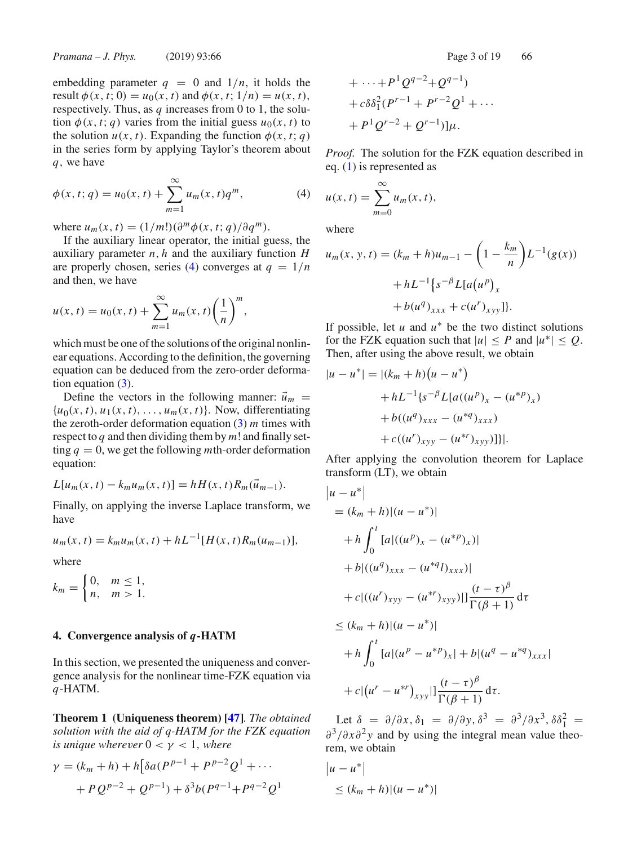embedding parameter  $q = 0$  and  $1/n$ , it holds the result  $\phi(x, t; 0) = u_0(x, t)$  and  $\phi(x, t; 1/n) = u(x, t)$ , respectively. Thus, as  $q$  increases from 0 to 1, the solution  $\phi(x, t; q)$  varies from the initial guess  $u_0(x, t)$  to the solution  $u(x, t)$ . Expanding the function  $\phi(x, t; q)$ in the series form by applying Taylor's theorem about *q*, we have

$$
\phi(x, t; q) = u_0(x, t) + \sum_{m=1}^{\infty} u_m(x, t) q^m,
$$
\n(4)

where  $u_m(x, t) = (1/m!)(\partial^m \phi(x, t; q)/\partial q^m)$ .

If the auxiliary linear operator, the initial guess, the auxiliary parameter *n*, *h* and the auxiliary function *H* are properly chosen, series (4) converges at  $q = 1/n$ and then, we have

$$
u(x, t) = u_0(x, t) + \sum_{m=1}^{\infty} u_m(x, t) \left(\frac{1}{n}\right)^m,
$$

which must be one of the solutions of the original nonlinear equations. According to the definition, the governing equation can be deduced from the zero-order deformation equation  $(3)$ .

Define the vectors in the following manner:  $\vec{u}_m$  =  ${u_0(x, t), u_1(x, t), \ldots, u_m(x, t)}$ . Now, differentiating the zeroth-order deformation equation (3) *m* times with respect to *q* and then dividing them by *m*! and finally setting  $q = 0$ , we get the following *m*th-order deformation equation:

$$
L[u_m(x, t) - k_m u_m(x, t)] = hH(x, t)R_m(\vec{u}_{m-1}).
$$

Finally, on applying the inverse Laplace transform, we have

$$
u_m(x, t) = k_m u_m(x, t) + hL^{-1}[H(x, t)R_m(u_{m-1})],
$$

where

$$
k_m = \begin{cases} 0, & m \le 1, \\ n, & m > 1. \end{cases}
$$

#### **4. Convergence analysis of** *q***-HATM**

In this section, we presented the uniqueness and convergence analysis for the nonlinear time-FZK equation via *q*-HATM.

**Theorem 1 (Uniqueness theorem) [47]***. The obtained solution with the aid of q-HATM for the FZK equation is unique wherever*  $0 < \gamma < 1$ *, where* 

$$
\gamma = (k_m + h) + h \left[ \delta a (P^{p-1} + P^{p-2} Q^1 + \cdots + P Q^{p-2} + Q^{p-1} \right) + \delta^3 b (P^{q-1} + P^{q-2} Q^1)
$$

+ 
$$
\cdots
$$
 +  $P^1 Q^{q-2}$ + $Q^{q-1}$ )  
+  $c \delta \delta_1^2 (P^{r-1} + P^{r-2} Q^1 + \cdots$   
+  $P^1 Q^{r-2} + Q^{r-1}) \mu$ .

*Proof.* The solution for the FZK equation described in eq. (1) is represented as

$$
u(x, t) = \sum_{m=0}^{\infty} u_m(x, t),
$$

where

$$
u_m(x, y, t) = (k_m + h)u_{m-1} - \left(1 - \frac{k_m}{n}\right)L^{-1}(g(x))
$$

$$
+ hL^{-1}\left\{s^{-\beta}L[a(u^p)]_x\right\}
$$

$$
+ b(u^q)_{xxx} + c(u^r)_{xy}].
$$

If possible, let  $u$  and  $u^*$  be the two distinct solutions for the FZK equation such that  $|u| \leq P$  and  $|u^*| \leq Q$ . Then, after using the above result, we obtain

$$
|u - u^*| = |(k_m + h)(u - u^*)
$$
  
+ hL<sup>-1</sup>{s<sup>- $\beta$</sup> L[a((u<sup>*p*</sup>)<sub>*x*</sub> - (u<sup>\**p*</sup>)<sub>*x*</sub>)  
+ b((u<sup>*q*</sup>)<sub>*xxx*</sub> - (u<sup>\**q*</sup>)<sub>*xxx*</sub>)  
+ c((u<sup>*r*</sup>)<sub>*xyy*</sub> - (u<sup>\**r*</sup>)<sub>*xyy*</sub>)]]

After applying the convolution theorem for Laplace transform (LT), we obtain

$$
\begin{aligned}\n|u - u^*| \\
&= (k_m + h)|(u - u^*)| \\
&+ h \int_0^t [a|((u^p)_x - (u^{*p})_x)] \\
&+ b|((u^q)_{xxx} - (u^{*q})_{xxx})| \\
&+ c|((u^r)_{xyy} - (u^{*r})_{xyy})|] \frac{(t - \tau)^{\beta}}{\Gamma(\beta + 1)} d\tau \\
&\le (k_m + h)|(u - u^*)| \\
&+ h \int_0^t [a|(u^p - u^{*p})_x] + b|(u^q - u^{*q})_{xxx}| \\
&+ c|(u^r - u^{*r})_{xyy}|] \frac{(t - \tau)^{\beta}}{\Gamma(\beta + 1)} d\tau.\n\end{aligned}
$$

Let  $\delta = \partial/\partial x$ ,  $\delta_1 = \partial/\partial y$ ,  $\delta^3 = \partial^3/\partial x^3$ ,  $\delta \delta_1^2 =$ ∂3/∂*x*∂<sup>2</sup> *y* and by using the integral mean value theorem, we obtain

$$
|u - u^*|
$$
  
\n
$$
\le (k_m + h) |(u - u^*)|
$$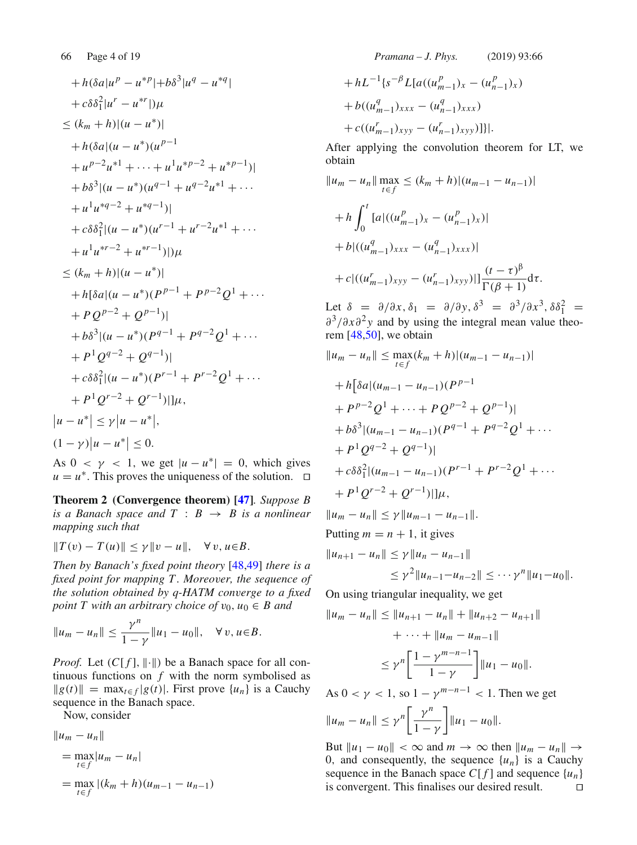$$
+ h(\delta a|u^{p} - u^{*p}|+b\delta^{3}|u^{q} - u^{*q}|
$$
  
\n
$$
+ c\delta \delta_{1}^{2}|u^{r} - u^{*r}|)\mu
$$
  
\n
$$
\leq (k_{m} + h)|(u - u^{*})|
$$
  
\n
$$
+ h(\delta a|(u - u^{*})(u^{p-1})
$$
  
\n
$$
+ u^{p-2}u^{*1} + \cdots + u^{1}u^{*p-2} + u^{*p-1})|
$$
  
\n
$$
+ b\delta^{3}|(u - u^{*})(u^{q-1} + u^{q-2}u^{*1} + \cdots + u^{1}u^{*q-2} + u^{*q-1})|
$$
  
\n
$$
+ c\delta \delta_{1}^{2}|(u - u^{*})(u^{r-1} + u^{r-2}u^{*1} + \cdots + u^{1}u^{*r-2} + u^{*r-1})|)\mu
$$
  
\n
$$
\leq (k_{m} + h)|(u - u^{*})|
$$
  
\n
$$
+ h[\delta a|(u - u^{*})(P^{p-1} + P^{p-2}Q^{1} + \cdots + PQ^{p-2} + Q^{p-1})|
$$
  
\n
$$
+ b\delta^{3}|(u - u^{*})(P^{q-1} + P^{q-2}Q^{1} + \cdots + P^{1}Q^{q-2} + Q^{q-1})|
$$
  
\n
$$
+ c\delta \delta_{1}^{2}|(u - u^{*})(P^{r-1} + P^{r-2}Q^{1} + \cdots + P^{1}Q^{r-2} + Q^{r-1})|]\mu,
$$
  
\n
$$
|u - u^{*}| \leq \gamma |u - u^{*}|,
$$
  
\n
$$
|u - u^{*}| \leq \gamma |u - u^{*}|,
$$
  
\n
$$
(1 - \gamma)|u - u^{*}| \leq 0.
$$

As  $0 < \gamma < 1$ , we get  $|u - u^*| = 0$ , which gives  $u = u^*$ . This proves the uniqueness of the solution.  $□$ 

**Theorem 2 (Convergence theorem) [47]***. Suppose B is a Banach space and*  $T : B \rightarrow B$  *is a nonlinear mapping such that*

$$
||T(v) - T(u)|| \leq \gamma ||v - u||, \quad \forall v, u \in B.
$$

*Then by Banach's fixed point theory* [48,49] *there is a fixed point for mapping T . Moreover, the sequence of the solution obtained by q-HATM converge to a fixed point T with an arbitrary choice of*  $v_0$ ,  $u_0 \in B$  *and* 

$$
||u_m - u_n|| \le \frac{\gamma^n}{1 - \gamma} ||u_1 - u_0||, \quad \forall v, u \in B.
$$

*Proof.* Let  $(C[f], \|\cdot\|)$  be a Banach space for all continuous functions on  $f$  with the norm symbolised as  $||g(t)|| = \max_{t \in f} |g(t)|$ . First prove  $\{u_n\}$  is a Cauchy sequence in the Banach space.

Now, consider

$$
||u_m - u_n||
$$
  
=  $\max_{t \in f} |u_m - u_n|$   
=  $\max_{t \in f} |(k_m + h)(u_{m-1} - u_{n-1})|$ 

66 Page 4 of 19 *Pramana – J. Phys.* (2019) 93:66

$$
+ hL^{-1} \{ s^{-\beta} L[a((u_{m-1}^p)_x - (u_{n-1}^p)_x)
$$
  
+  $b((u_{m-1}^q)_{xxx} - (u_{n-1}^q)_{xxx})$   
+  $c((u_{m-1}^r)_{xyy} - (u_{n-1}^r)_{xyy})]\}.$ 

After applying the convolution theorem for LT, we obtain

$$
||u_m - u_n|| \max_{t \in f} \le (k_m + h) |(u_{m-1} - u_{n-1})|
$$
  
+ 
$$
h \int_0^t [a] ((u_{m-1}^p)_x - (u_{n-1}^p)_x)]
$$
  
+ 
$$
b |((u_{m-1}^q)_{xxx} - (u_{n-1}^q)_{xxx})|
$$
  
+ 
$$
c |((u_{m-1}^r)_{xy} - (u_{n-1}^r)_{xy} - u_{n-1}^r)_{xy}|] \frac{(t - \tau)^{\beta}}{\Gamma(\beta + 1)} d\tau.
$$

Let  $\delta = \partial/\partial x, \delta_1 = \partial/\partial y, \delta^3 = \partial^3/\partial x^3, \delta \delta_1^2 =$ ∂3/∂*x*∂<sup>2</sup> *y* and by using the integral mean value theorem [48,50], we obtain

$$
||u_m - u_n|| \le \max_{t \in f} (k_m + h) |(u_{m-1} - u_{n-1})|
$$
  
+  $h[\delta a |(u_{m-1} - u_{n-1})(P^{p-1})$   
+  $P^{p-2}Q^1 + \dots + PQ^{p-2} + Q^{p-1})|$   
+  $b\delta^3 |(u_{m-1} - u_{n-1})(P^{q-1} + P^{q-2}Q^1 + \dots$   
+  $P^1 Q^{q-2} + Q^{q-1})|$   
+  $c\delta\delta_1^2 |(u_{m-1} - u_{n-1})(P^{r-1} + P^{r-2}Q^1 + \dots$   
+  $P^1 Q^{r-2} + Q^{r-1})| \, |\mu,$   
 $||u_m - u_n|| \le \gamma ||u_{m-1} - u_{n-1}||.$ 

Putting  $m = n + 1$ , it gives

$$
||u_{n+1} - u_n|| \le \gamma ||u_n - u_{n-1}||
$$
  
\n
$$
\le \gamma^2 ||u_{n-1} - u_{n-2}|| \le \cdots \gamma^n ||u_1 - u_0||.
$$

On using triangular inequality, we get

$$
||u_m - u_n|| \le ||u_{n+1} - u_n|| + ||u_{n+2} - u_{n+1}||
$$
  
+ ... +  $||u_m - u_{m-1}||$   

$$
\le \gamma^n \left[ \frac{1 - \gamma^{m-n-1}}{1 - \gamma} \right] ||u_1 - u_0||.
$$

As 
$$
0 < \gamma < 1
$$
, so  $1 - \gamma^{m-n-1} < 1$ . Then we get

$$
||u_m - u_n|| \leq \gamma^n \left[ \frac{\gamma^n}{1 - \gamma} \right] ||u_1 - u_0||.
$$

But  $||u_1 - u_0|| < \infty$  and  $m \to \infty$  then  $||u_m - u_n|| \to$ 0, and consequently, the sequence  $\{u_n\}$  is a Cauchy sequence in the Banach space  $C[f]$  and sequence  $\{u_n\}$  is convergent. This finalises our desired result. is convergent. This finalises our desired result.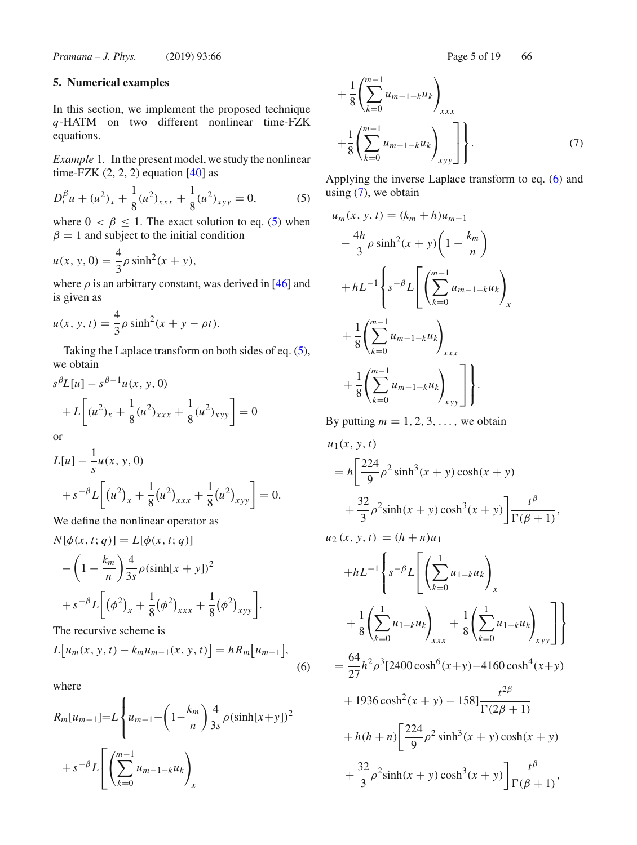*Pramana – J. Phys.* (2019) 93:66 Page 5 of 19 66

# **5. Numerical examples**

In this section, we implement the proposed technique *q*-HATM on two different nonlinear time-FZK equations.

*Example* 1*.* In the present model, we study the nonlinear time-FZK  $(2, 2, 2)$  equation [40] as

$$
D_t^{\beta} u + (u^2)_x + \frac{1}{8} (u^2)_{xxx} + \frac{1}{8} (u^2)_{xyy} = 0,
$$
 (5)

where  $0 < \beta \le 1$ . The exact solution to eq. (5) when  $\beta = 1$  and subject to the initial condition

$$
u(x, y, 0) = \frac{4}{3}\rho \sinh^{2}(x + y),
$$

where  $\rho$  is an arbitrary constant, was derived in [46] and is given as

$$
u(x, y, t) = \frac{4}{3}\rho \sinh^{2}(x + y - \rho t).
$$

Taking the Laplace transform on both sides of eq. (5), we obtain

$$
s^{\beta}L[u] - s^{\beta - 1}u(x, y, 0)
$$
  
+  $L\left[(u^2)_x + \frac{1}{8}(u^2)_{xxx} + \frac{1}{8}(u^2)_{xyy}\right] = 0$   
or

or

1

$$
L[u] - \frac{1}{s}u(x, y, 0)
$$
  
+  $s^{-\beta}L\left[(u^2)_x + \frac{1}{8}(u^2)_{xxx} + \frac{1}{8}(u^2)_{xyy}\right] = 0.$ 

We define the nonlinear operator as

$$
N[\phi(x, t; q)] = L[\phi(x, t; q)]
$$
  

$$
- \left(1 - \frac{k_m}{n}\right) \frac{4}{3s} \rho(\sinh[x + y])^2
$$
  

$$
+ s^{-\beta} L\left[\left(\phi^2\right)_x + \frac{1}{8} \left(\phi^2\right)_{xxx} + \frac{1}{8} \left(\phi^2\right)_{xyy}\right].
$$
  
The recursive scheme is

The recursive scheme is

$$
L[u_m(x, y, t) - k_m u_{m-1}(x, y, t)] = hR_m[u_{m-1}],
$$
\n(6)

where

$$
R_m[u_{m-1}] = L \left\{ u_{m-1} - \left( 1 - \frac{k_m}{n} \right) \frac{4}{3s} \rho (\sinh[x+y])^2 + s^{-\beta} L \left[ \left( \sum_{k=0}^{m-1} u_{m-1-k} u_k \right)_{x} \right] \right\}
$$

$$
+\frac{1}{8}\left(\sum_{k=0}^{m-1}u_{m-1-k}u_k\right)_{xxx}
$$
  
 
$$
+\frac{1}{8}\left(\sum_{k=0}^{m-1}u_{m-1-k}u_k\right)_{xyy}\right].
$$
 (7)

Applying the inverse Laplace transform to eq. (6) and using  $(7)$ , we obtain

$$
u_m(x, y, t) = (k_m + h)u_{m-1}
$$
  
\n
$$
-\frac{4h}{3}\rho \sinh^2(x + y)\left(1 - \frac{k_m}{n}\right)
$$
  
\n
$$
+ hL^{-1}\left\{s^{-\beta}L\left[\left(\sum_{k=0}^{m-1} u_{m-1-k}u_k\right)_x\right.\right.
$$
  
\n
$$
+\frac{1}{8}\left(\sum_{k=0}^{m-1} u_{m-1-k}u_k\right)_{xxx}
$$
  
\n
$$
+\frac{1}{8}\left(\sum_{k=0}^{m-1} u_{m-1-k}u_k\right)_{xyy}\right].
$$

By putting  $m = 1, 2, 3, \ldots$ , we obtain

$$
u_1(x, y, t)
$$
  
=  $h \left[ \frac{224}{9} \rho^2 \sinh^3(x + y) \cosh(x + y) + \frac{32}{3} \rho^2 \sinh(x + y) \cosh^3(x + y) \right] \frac{t^\beta}{\Gamma(\beta + 1)},$   

$$
u_2(x, y, t) = (h + n)u_1
$$
  
+ $hL^{-1} \left\{ s^{-\beta} L \left[ \left( \sum_{k=0}^1 u_{1-k} u_k \right)_x + \frac{1}{8} \left( \sum_{k=0}^1 u_{1-k} u_k \right)_x \right] \right\}$   
+ $\frac{1}{8} \left( \sum_{k=0}^1 u_{1-k} u_k \right)_{xxx} + \frac{1}{8} \left( \sum_{k=0}^1 u_{1-k} u_k \right)_{xyy} \right]$   
=  $\frac{64}{27} h^2 \rho^3 [2400 \cosh^6(x + y) - 4160 \cosh^4(x + y) + 1936 \cosh^2(x + y) - 158] \frac{t^{2\beta}}{\Gamma(2\beta + 1)}$   
+ $h(h + n) \left[ \frac{224}{9} \rho^2 \sinh^3(x + y) \cosh(x + y) + \frac{32}{3} \rho^2 \sinh(x + y) \cosh^3(x + y) \right] \frac{t^\beta}{\Gamma(\beta + 1)},$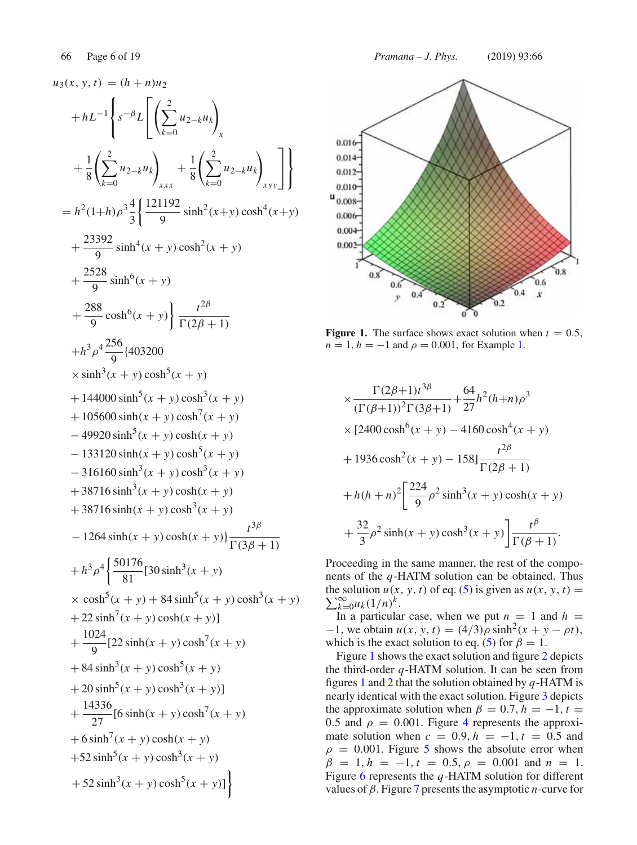$u_3(x, y, t) = (h + n)u_2$  $+hL^{-1}$  $\lceil$  $\mathsf{I}$  $\mathbf{I}$ *s*−<sup>β</sup> *L*  $\Gamma$  $\mathbf{L}$  $\sqrt{ }$  $\sum$ 2 *k*=0 *u*2−*kuk*  $\setminus$ *x*  $^{+}$ 1 8  $\sqrt{ }$  $\sum$ 2 *k*=0 *u*2−*kuk*  $\setminus$ *xxx*  $^{+}$ 1 8  $\sqrt{ }$  $\sum$ 2 *k*=0 *u*2−*kuk*  $\setminus$ *xyy* ⎤  $\overline{\phantom{a}}$  $\mathbf{I}$  $\mathbf{I}$  $\mathbf{J}$  $= h^2(1+h)\rho^3\frac{4}{3}$ 121192  $\frac{1192}{9}$  sinh<sup>2</sup>(*x*+*y*) cosh<sup>4</sup>(*x*+*y*)  $^{+}$ 23392  $\frac{392}{9}$  sinh<sup>4</sup>(*x* + *y*) cosh<sup>2</sup>(*x* + *y*)  $^{+}$ 2528  $\frac{928}{9}$  sinh<sup>6</sup>(x + y)  $^{+}$ 288  $\frac{88}{9} \cosh^{6}(x+y) \bigg\} \frac{t^{2\beta}}{\Gamma(2\beta-1)}$  $\Gamma(2\beta + 1)$  $+h^3 \rho^4 \frac{256}{9}$ {403200  $\times$ sinh<sup>3</sup>(*x* + *y*) cosh<sup>5</sup>(*x* + *y*)  $+ 144000 \sinh^{5}(x + y) \cosh^{3}(x + y)$  $+ 105600 \sinh(x + y) \cosh^{7}(x + y)$  $-49920 \sinh^{5}(x+y) \cosh(x+y)$  $-133120 \sinh(x + y) \cosh^{5}(x + y)$  $-316160 \sinh^3(x+y) \cosh^3(x+y)$  $+ 38716 \sinh^3(x + y) \cosh(x + y)$  $+ 38716 \sinh(x + y) \cosh^{3}(x + y)$  $-1264 \sinh(x + y) \cosh(x + y) \frac{t^{3\beta}}{\Gamma(3\beta + 1)}$  $+h^3\rho^4\bigg\{\frac{50176}{81}[30\sinh^3(x+y)]$  $\times \cosh^{5}(x + y) + 84 \sinh^{5}(x + y) \cosh^{3}(x + y)$  $+ 22 \sinh^{7}(x + y) \cosh(x + y)$ ]  $^{+}$  $\frac{1024}{9}$ [22 sinh(x + y) cosh<sup>7</sup>(x + y)  $+ 84 \sinh^3(x + y) \cosh^5(x + y)$  $+ 20 \sinh^{5}(x + y) \cosh^{3}(x + y)$  $^{+}$  $\frac{14336}{27}$ [6 sinh(*x* + *y*) cosh<sup>7</sup>(*x* + *y*)  $+ 6 \sinh^7(x + y) \cosh(x + y)$  $+52 \sinh^{5}(x + y) \cosh^{3}(x + y)$  $+ 52 \sinh^3(x + y) \cosh^5(x + y)$ ]



**Figure 1.** The surface shows exact solution when  $t = 0.5$ ,  $n = 1, h = -1$  and  $\rho = 0.001$ , for Example 1.

$$
\times \frac{\Gamma(2\beta+1)t^{3\beta}}{(\Gamma(\beta+1))^2 \Gamma(3\beta+1)} + \frac{64}{27}h^2(h+n)\rho^3
$$
  
\n
$$
\times [2400 \cosh^6(x+y) - 4160 \cosh^4(x+y)
$$
  
\n+ 1936 cosh<sup>2</sup>(x+y) - 158]  $\frac{t^{2\beta}}{\Gamma(2\beta+1)}$   
\n+  $h(h+n)^2 \left[ \frac{224}{9} \rho^2 \sinh^3(x+y) \cosh(x+y) + \frac{32}{3} \rho^2 \sinh(x+y) \cosh^3(x+y) \right] \frac{t^{\beta}}{\Gamma(\beta+1)}.$ 

Proceeding in the same manner, the rest of the components of the *q*-HATM solution can be obtained. Thus  $\sum_{k=0}^{\infty} u_k (1/n)^k.$ the solution  $u(x, y, t)$  of eq. (5) is given as  $u(x, y, t) =$ 

In a particular case, when we put  $n = 1$  and  $h =$  $-1$ , we obtain  $u(x, y, t) = (4/3)\rho \sinh^2(x + y - \rho t)$ , which is the exact solution to eq. (5) for  $\beta = 1$ .

Figure 1 shows the exact solution and figure 2 depicts the third-order *q*-HATM solution. It can be seen from figures 1 and 2 that the solution obtained by *q*-HATM is nearly identical with the exact solution. Figure 3 depicts the approximate solution when  $\beta = 0.7$ ,  $h = -1$ ,  $t =$ 0.5 and  $\rho = 0.001$ . Figure 4 represents the approximate solution when  $c = 0.9$ ,  $h = -1$ ,  $t = 0.5$  and  $\rho = 0.001$ . Figure 5 shows the absolute error when  $\beta = 1, h = -1, t = 0.5, \rho = 0.001$  and  $n = 1$ . Figure 6 represents the *q*-HATM solution for different values of β. Figure 7 presents the asymptotic *n*-curve for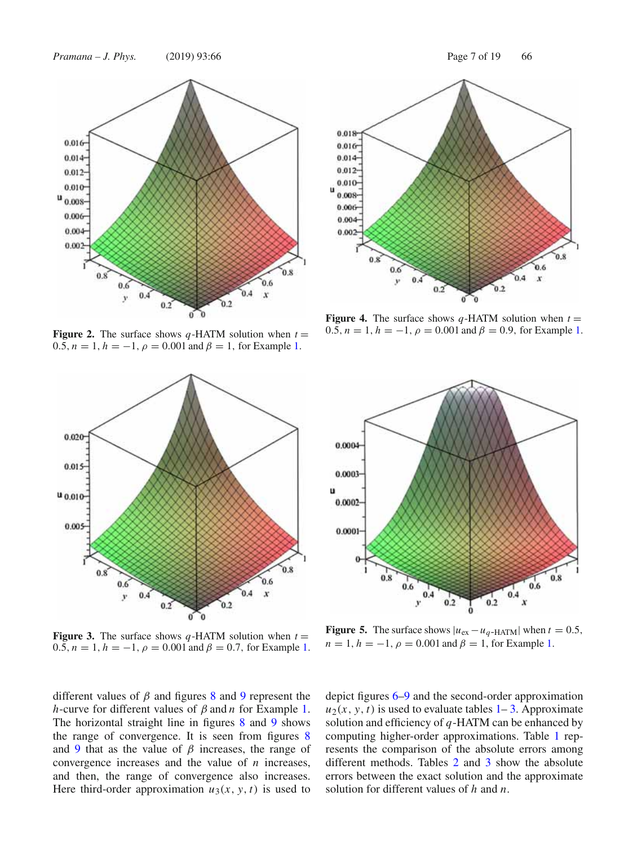

**Figure 2.** The surface shows  $q$ -HATM solution when  $t =$ 0.5,  $n = 1$ ,  $h = -1$ ,  $\rho = 0.001$  and  $\beta = 1$ , for Example 1.



**Figure 3.** The surface shows  $q$ -HATM solution when  $t =$ 0.5,  $n = 1$ ,  $h = -1$ ,  $\rho = 0.001$  and  $\beta = 0.7$ , for Example 1.

different values of  $\beta$  and figures 8 and 9 represent the *h*-curve for different values of β and *n* for Example 1. The horizontal straight line in figures 8 and 9 shows the range of convergence. It is seen from figures 8 and 9 that as the value of  $\beta$  increases, the range of convergence increases and the value of *n* increases, and then, the range of convergence also increases. Here third-order approximation  $u_3(x, y, t)$  is used to depict figures 6–9 and the second-order approximation  $u_2(x, y, t)$  is used to evaluate tables  $1 - 3$ . Approximate solution and efficiency of *q*-HATM can be enhanced by computing higher-order approximations. Table 1 represents the comparison of the absolute errors among different methods. Tables 2 and 3 show the absolute errors between the exact solution and the approximate solution for different values of *h* and *n*.



**Figure 4.** The surface shows  $q$ -HATM solution when  $t =$ 0.5,  $n = 1$ ,  $h = -1$ ,  $\rho = 0.001$  and  $\beta = 0.9$ , for Example 1.



**Figure 5.** The surface shows  $|u_{\text{ex}} - u_q$ -HATM| when  $t = 0.5$ ,  $n = 1, h = -1, \rho = 0.001$  and  $\beta = 1$ , for Example 1.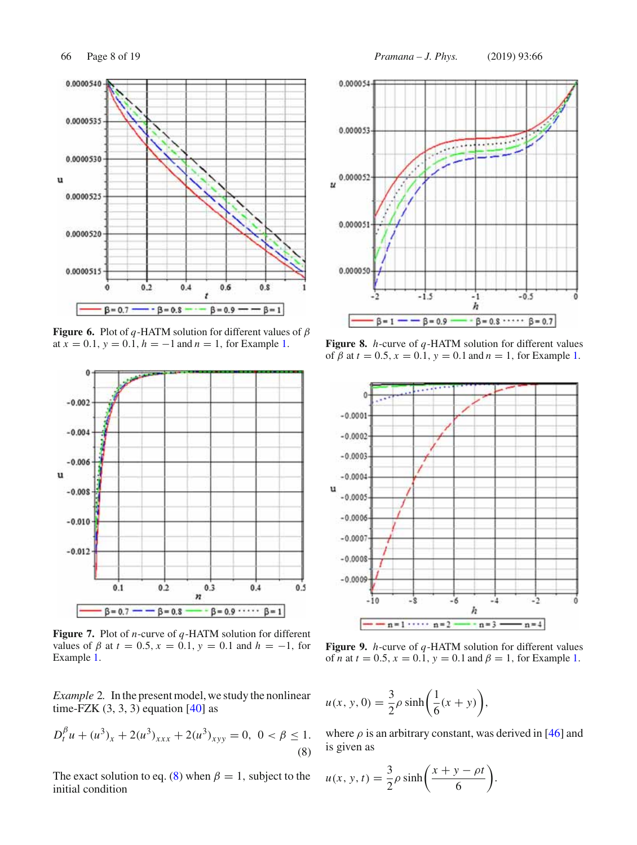

**Figure 6.** Plot of *q*-HATM solution for different values of  $\beta$ at  $x = 0.1$ ,  $y = 0.\overline{1}$ ,  $h = -1$  and  $n = 1$ , for Example 1.



**Figure 7.** Plot of *n*-curve of *q*-HATM solution for different values of  $\beta$  at  $t = 0.5$ ,  $x = 0.1$ ,  $y = 0.1$  and  $h = -1$ , for Example 1.

*Example* 2*.* In the present model, we study the nonlinear time-FZK  $(3, 3, 3)$  equation  $[40]$  as

$$
D_t^{\beta} u + (u^3)_x + 2(u^3)_{xxx} + 2(u^3)_{xyy} = 0, \ 0 < \beta \le 1. \tag{8}
$$

The exact solution to eq. (8) when  $\beta = 1$ , subject to the initial condition

66 Page 8 of 19 *Pramana – J. Phys.* (2019) 93:66



**Figure 8.** *h*-curve of *q*-HATM solution for different values of  $\beta$  at  $t = 0.5$ ,  $x = 0.1$ ,  $y = 0.1$  and  $n = 1$ , for Example 1.



**Figure 9.** *h*-curve of *q*-HATM solution for different values of *n* at  $t = 0.5$ ,  $x = 0.\overline{1}$ ,  $y = 0.1$  and  $\beta = 1$ , for Example 1.

$$
u(x, y, 0) = \frac{3}{2}\rho \sinh\left(\frac{1}{6}(x+y)\right),
$$

where  $\rho$  is an arbitrary constant, was derived in [46] and is given as

$$
u(x, y, t) = \frac{3}{2}\rho \sinh\left(\frac{x+y-\rho t}{6}\right).
$$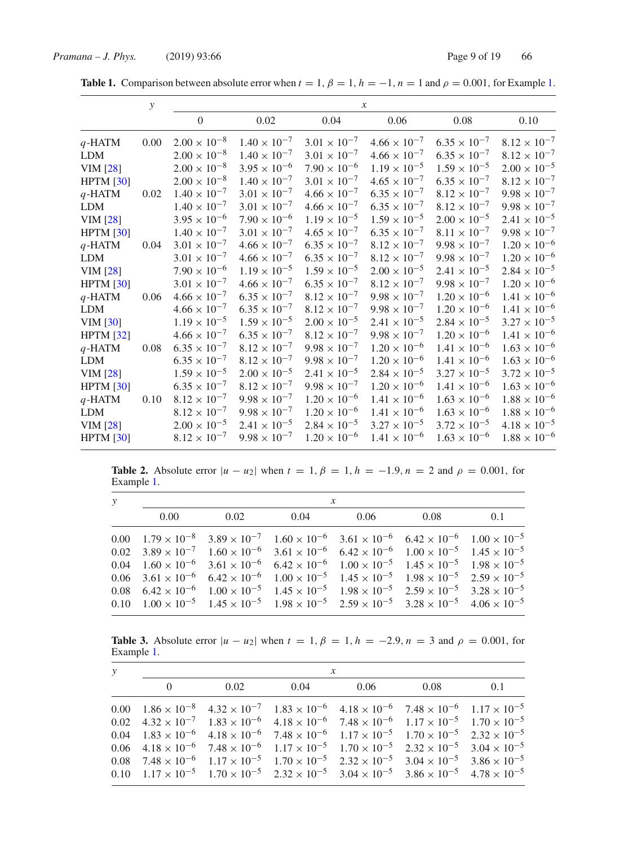|                 | $\mathcal{Y}$ | $\mathcal{X}$         |                       |                       |                       |                       |                       |
|-----------------|---------------|-----------------------|-----------------------|-----------------------|-----------------------|-----------------------|-----------------------|
|                 |               | $\mathbf{0}$          | 0.02                  | 0.04                  | 0.06                  | 0.08                  | 0.10                  |
| $q$ -HATM       | 0.00          | $2.00 \times 10^{-8}$ | $1.40 \times 10^{-7}$ | $3.01 \times 10^{-7}$ | $4.66 \times 10^{-7}$ | $6.35 \times 10^{-7}$ | $8.12 \times 10^{-7}$ |
| <b>LDM</b>      |               | $2.00 \times 10^{-8}$ | $1.40 \times 10^{-7}$ | $3.01 \times 10^{-7}$ | $4.66 \times 10^{-7}$ | $6.35 \times 10^{-7}$ | $8.12 \times 10^{-7}$ |
| <b>VIM</b> [28] |               | $2.00 \times 10^{-8}$ | $3.95 \times 10^{-6}$ | $7.90 \times 10^{-6}$ | $1.19 \times 10^{-5}$ | $1.59 \times 10^{-5}$ | $2.00 \times 10^{-5}$ |
| HPTM [30]       |               | $2.00 \times 10^{-8}$ | $1.40 \times 10^{-7}$ | $3.01 \times 10^{-7}$ | $4.65 \times 10^{-7}$ | $6.35 \times 10^{-7}$ | $8.12 \times 10^{-7}$ |
| $q$ -HATM       | 0.02          | $1.40 \times 10^{-7}$ | $3.01 \times 10^{-7}$ | $4.66 \times 10^{-7}$ | $6.35 \times 10^{-7}$ | $8.12 \times 10^{-7}$ | $9.98 \times 10^{-7}$ |
| <b>LDM</b>      |               | $1.40 \times 10^{-7}$ | $3.01 \times 10^{-7}$ | $4.66 \times 10^{-7}$ | $6.35 \times 10^{-7}$ | $8.12 \times 10^{-7}$ | $9.98 \times 10^{-7}$ |
| <b>VIM</b> [28] |               | $3.95 \times 10^{-6}$ | $7.90 \times 10^{-6}$ | $1.19 \times 10^{-5}$ | $1.59 \times 10^{-5}$ | $2.00 \times 10^{-5}$ | $2.41 \times 10^{-5}$ |
| HPTM [30]       |               | $1.40 \times 10^{-7}$ | $3.01 \times 10^{-7}$ | $4.65 \times 10^{-7}$ | $6.35 \times 10^{-7}$ | $8.11 \times 10^{-7}$ | $9.98 \times 10^{-7}$ |
| $q$ -HATM       | 0.04          | $3.01 \times 10^{-7}$ | $4.66 \times 10^{-7}$ | $6.35 \times 10^{-7}$ | $8.12 \times 10^{-7}$ | $9.98 \times 10^{-7}$ | $1.20 \times 10^{-6}$ |
| <b>LDM</b>      |               | $3.01 \times 10^{-7}$ | $4.66 \times 10^{-7}$ | $6.35 \times 10^{-7}$ | $8.12 \times 10^{-7}$ | $9.98 \times 10^{-7}$ | $1.20 \times 10^{-6}$ |
| <b>VIM</b> [28] |               | $7.90 \times 10^{-6}$ | $1.19 \times 10^{-5}$ | $1.59 \times 10^{-5}$ | $2.00 \times 10^{-5}$ | $2.41 \times 10^{-5}$ | $2.84 \times 10^{-5}$ |
| HPTM [30]       |               | $3.01 \times 10^{-7}$ | $4.66 \times 10^{-7}$ | $6.35 \times 10^{-7}$ | $8.12 \times 10^{-7}$ | $9.98 \times 10^{-7}$ | $1.20 \times 10^{-6}$ |
| $q$ -HATM       | 0.06          | $4.66 \times 10^{-7}$ | $6.35 \times 10^{-7}$ | $8.12 \times 10^{-7}$ | $9.98 \times 10^{-7}$ | $1.20 \times 10^{-6}$ | $1.41 \times 10^{-6}$ |
| <b>LDM</b>      |               | $4.66 \times 10^{-7}$ | $6.35 \times 10^{-7}$ | $8.12 \times 10^{-7}$ | $9.98 \times 10^{-7}$ | $1.20 \times 10^{-6}$ | $1.41 \times 10^{-6}$ |
| <b>VIM</b> [30] |               | $1.19 \times 10^{-5}$ | $1.59 \times 10^{-5}$ | $2.00 \times 10^{-5}$ | $2.41 \times 10^{-5}$ | $2.84 \times 10^{-5}$ | $3.27 \times 10^{-5}$ |
| HPTM [32]       |               | $4.66 \times 10^{-7}$ | $6.35 \times 10^{-7}$ | $8.12 \times 10^{-7}$ | $9.98 \times 10^{-7}$ | $1.20 \times 10^{-6}$ | $1.41 \times 10^{-6}$ |
| $q$ -HATM       | 0.08          | $6.35 \times 10^{-7}$ | $8.12 \times 10^{-7}$ | $9.98 \times 10^{-7}$ | $1.20 \times 10^{-6}$ | $1.41 \times 10^{-6}$ | $1.63 \times 10^{-6}$ |
| <b>LDM</b>      |               | $6.35 \times 10^{-7}$ | $8.12 \times 10^{-7}$ | $9.98 \times 10^{-7}$ | $1.20 \times 10^{-6}$ | $1.41 \times 10^{-6}$ | $1.63 \times 10^{-6}$ |
| <b>VIM</b> [28] |               | $1.59 \times 10^{-5}$ | $2.00 \times 10^{-5}$ | $2.41 \times 10^{-5}$ | $2.84 \times 10^{-5}$ | $3.27 \times 10^{-5}$ | $3.72 \times 10^{-5}$ |
| HPTM [30]       |               | $6.35 \times 10^{-7}$ | $8.12 \times 10^{-7}$ | $9.98 \times 10^{-7}$ | $1.20 \times 10^{-6}$ | $1.41 \times 10^{-6}$ | $1.63 \times 10^{-6}$ |
| $q$ -HATM       | 0.10          | $8.12 \times 10^{-7}$ | $9.98 \times 10^{-7}$ | $1.20 \times 10^{-6}$ | $1.41 \times 10^{-6}$ | $1.63 \times 10^{-6}$ | $1.88 \times 10^{-6}$ |
| <b>LDM</b>      |               | $8.12 \times 10^{-7}$ | $9.98 \times 10^{-7}$ | $1.20 \times 10^{-6}$ | $1.41 \times 10^{-6}$ | $1.63 \times 10^{-6}$ | $1.88 \times 10^{-6}$ |
| <b>VIM</b> [28] |               | $2.00 \times 10^{-5}$ | $2.41 \times 10^{-5}$ | $2.84 \times 10^{-5}$ | $3.27 \times 10^{-5}$ | $3.72 \times 10^{-5}$ | $4.18 \times 10^{-5}$ |
| HPTM [30]       |               | $8.12 \times 10^{-7}$ | $9.98 \times 10^{-7}$ | $1.20 \times 10^{-6}$ | $1.41 \times 10^{-6}$ | $1.63 \times 10^{-6}$ | $1.88 \times 10^{-6}$ |

**Table 1.** Comparison between absolute error when  $t = 1$ ,  $\beta = 1$ ,  $h = -1$ ,  $n = 1$  and  $\rho = 0.001$ , for Example 1.

**Table 2.** Absolute error  $|u - u_2|$  when  $t = 1$ ,  $\beta = 1$ ,  $h = -1.9$ ,  $n = 2$  and  $\rho = 0.001$ , for Example 1.

| $\mathcal{Y}$ | $\mathcal{X}$ |                                                                                                                                                                    |  |      |      |     |  |  |
|---------------|---------------|--------------------------------------------------------------------------------------------------------------------------------------------------------------------|--|------|------|-----|--|--|
|               | 0.00          | $0.02$ 0.04                                                                                                                                                        |  | 0.06 | 0.08 | 0.1 |  |  |
|               |               | $0.00 \t1.79 \times 10^{-8} \t3.89 \times 10^{-7} \t1.60 \times 10^{-6} \t3.61 \times 10^{-6} \t6.42 \times 10^{-6} \t1.00 \times 10^{-5}$                         |  |      |      |     |  |  |
|               |               | $0.02 \quad 3.89 \times 10^{-7} \quad 1.60 \times 10^{-6} \quad 3.61 \times 10^{-6} \quad 6.42 \times 10^{-6} \quad 1.00 \times 10^{-5} \quad 1.45 \times 10^{-5}$ |  |      |      |     |  |  |
|               |               | $0.04 \t1.60 \times 10^{-6} \t3.61 \times 10^{-6} \t6.42 \times 10^{-6} \t1.00 \times 10^{-5} \t1.45 \times 10^{-5} \t1.98 \times 10^{-5}$                         |  |      |      |     |  |  |
|               |               | $0.06 \quad 3.61 \times 10^{-6} \quad 6.42 \times 10^{-6} \quad 1.00 \times 10^{-5} \quad 1.45 \times 10^{-5} \quad 1.98 \times 10^{-5} \quad 2.59 \times 10^{-5}$ |  |      |      |     |  |  |
|               |               | $0.08$ $6.42 \times 10^{-6}$ $1.00 \times 10^{-5}$ $1.45 \times 10^{-5}$ $1.98 \times 10^{-5}$ $2.59 \times 10^{-5}$ $3.28 \times 10^{-5}$                         |  |      |      |     |  |  |
|               |               | $0.10 \t1.00 \times 10^{-5} \t1.45 \times 10^{-5} \t1.98 \times 10^{-5} \t2.59 \times 10^{-5} \t3.28 \times 10^{-5} \t4.06 \times 10^{-5}$                         |  |      |      |     |  |  |

**Table 3.** Absolute error  $|u - u_2|$  when  $t = 1$ ,  $\beta = 1$ ,  $h = −2.9$ ,  $n = 3$  and  $\rho = 0.001$ , for Example 1.

| $\mathcal{Y}$ |          | $\mathcal{X}$ |                             |  |                                                                                                                                                                    |     |  |  |  |
|---------------|----------|---------------|-----------------------------|--|--------------------------------------------------------------------------------------------------------------------------------------------------------------------|-----|--|--|--|
|               | $\Omega$ |               | $0.02$ $0.04$ $0.06$ $0.08$ |  |                                                                                                                                                                    | 0.1 |  |  |  |
|               |          |               |                             |  | 0.00 $1.86 \times 10^{-8}$ $4.32 \times 10^{-7}$ $1.83 \times 10^{-6}$ $4.18 \times 10^{-6}$ $7.48 \times 10^{-6}$ $1.17 \times 10^{-5}$                           |     |  |  |  |
|               |          |               |                             |  | $0.02 \quad 4.32 \times 10^{-7} \quad 1.83 \times 10^{-6} \quad 4.18 \times 10^{-6} \quad 7.48 \times 10^{-6} \quad 1.17 \times 10^{-5} \quad 1.70 \times 10^{-5}$ |     |  |  |  |
|               |          |               |                             |  | $0.04 \quad 1.83 \times 10^{-6} \quad 4.18 \times 10^{-6} \quad 7.48 \times 10^{-6} \quad 1.17 \times 10^{-5} \quad 1.70 \times 10^{-5} \quad 2.32 \times 10^{-5}$ |     |  |  |  |
|               |          |               |                             |  | 0.06 $4.18 \times 10^{-6}$ $7.48 \times 10^{-6}$ $1.17 \times 10^{-5}$ $1.70 \times 10^{-5}$ $2.32 \times 10^{-5}$ $3.04 \times 10^{-5}$                           |     |  |  |  |
|               |          |               |                             |  | $0.08$ $7.48 \times 10^{-6}$ $1.17 \times 10^{-5}$ $1.70 \times 10^{-5}$ $2.32 \times 10^{-5}$ $3.04 \times 10^{-5}$ $3.86 \times 10^{-5}$                         |     |  |  |  |
|               |          |               |                             |  | 0.10 $1.17 \times 10^{-5}$ $1.70 \times 10^{-5}$ $2.32 \times 10^{-5}$ $3.04 \times 10^{-5}$ $3.86 \times 10^{-5}$ $4.78 \times 10^{-5}$                           |     |  |  |  |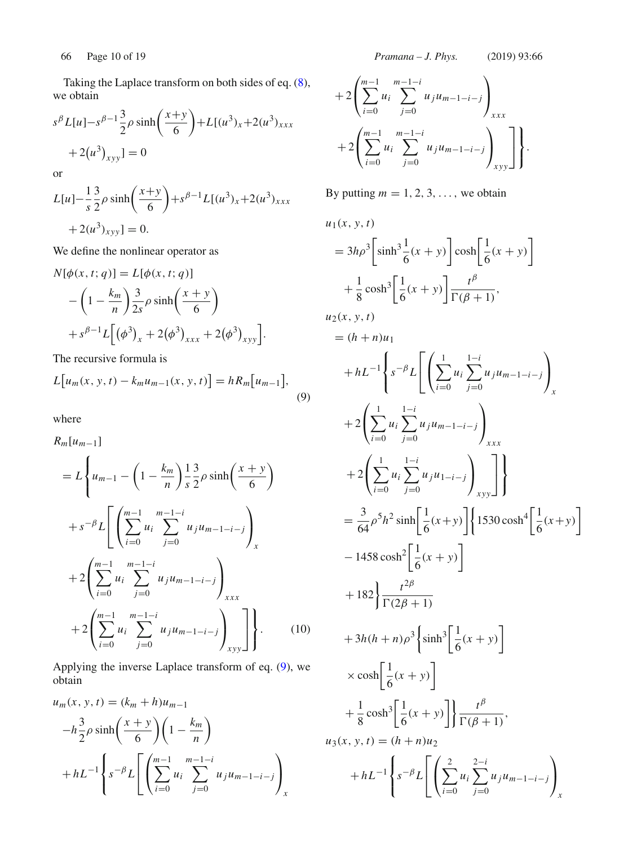Taking the Laplace transform on both sides of eq. (8), we obtain

$$
s^{\beta}L[u] - s^{\beta - 1}\frac{3}{2}\rho \sinh\left(\frac{x+y}{6}\right) + L[(u^3)_x + 2(u^3)_{xxx} + 2(u^3)_{xy}]=0
$$

or

$$
L[u] - \frac{1}{s} \frac{3}{2} \rho \sinh\left(\frac{x+y}{6}\right) + s^{\beta - 1} L[(u^3)_x + 2(u^3)_{xxx}
$$
  
+ 2(u<sup>3</sup>)<sub>xyy</sub>] = 0.

We define the nonlinear operator as

$$
N[\phi(x, t; q)] = L[\phi(x, t; q)]
$$
  
 
$$
- \left(1 - \frac{k_m}{n}\right) \frac{3}{2s} \rho \sinh\left(\frac{x + y}{6}\right)
$$
  
 
$$
+ s^{\beta - 1} L[(\phi^3)_x + 2(\phi^3)_{xxx} + 2(\phi^3)_{xyy}].
$$

The recursive formula is

$$
L[u_m(x, y, t) - k_m u_{m-1}(x, y, t)] = hR_m[u_{m-1}],
$$
\n(9)

where

$$
R_m[u_{m-1}]
$$
  
=  $L\left\{u_{m-1} - \left(1 - \frac{k_m}{n}\right) \frac{1}{s} \frac{3}{2} \rho \sinh\left(\frac{x+y}{6}\right) + s^{-\beta} L\left[\left(\sum_{i=0}^{m-1} u_i \sum_{j=0}^{m-1-i} u_j u_{m-1-i-j}\right) \right]_x + 2\left(\sum_{i=0}^{m-1} u_i \sum_{j=0}^{m-1-i} u_j u_{m-1-i-j}\right)_{xxx} + 2\left(\sum_{i=0}^{m-1} u_i \sum_{j=0}^{m-1-i} u_j u_{m-1-i-j}\right)_{xyy}\right\}.$  (10)

Applying the inverse Laplace transform of eq. (9), we obtain

$$
u_m(x, y, t) = (k_m + h)u_{m-1}
$$
  
\n
$$
-h\frac{3}{2}\rho \sinh\left(\frac{x+y}{6}\right)\left(1 - \frac{k_m}{n}\right)
$$
  
\n
$$
+ hL^{-1}\left\{s^{-\beta}L\left[\left(\sum_{i=0}^{m-1} u_i \sum_{j=0}^{m-1-i} u_j u_{m-1-i-j}\right)_x\right]\right\}
$$

66 Page 10 of 19 *Pramana – J. Phys.* (2019) 93:66

$$
+ 2\left(\sum_{i=0}^{m-1} u_i \sum_{j=0}^{m-1-i} u_j u_{m-1-i-j}\right)_{xxx}
$$
  
+2
$$
\left(\sum_{i=0}^{m-1} u_i \sum_{j=0}^{m-1-i} u_j u_{m-1-i-j}\right)_{xyy}\right].
$$

By putting  $m = 1, 2, 3, \ldots$ , we obtain

$$
u_{1}(x, y, t)
$$
\n
$$
= 3h\rho^{3} \left[\sinh^{3} \frac{1}{6}(x + y)\right] \cosh\left[\frac{1}{6}(x + y)\right]
$$
\n
$$
+ \frac{1}{8} \cosh^{3} \left[\frac{1}{6}(x + y)\right] \frac{t^{\beta}}{\Gamma(\beta + 1)},
$$
\n
$$
u_{2}(x, y, t)
$$
\n
$$
= (h + n)u_{1}
$$
\n
$$
+ hL^{-1} \left\{ s^{-\beta} L \left[ \left( \sum_{i=0}^{1} u_{i} \sum_{j=0}^{1-i} u_{j} u_{m-1-j} \right)_{x} + 2 \left( \sum_{i=0}^{1} u_{i} \sum_{j=0}^{1-i} u_{j} u_{m-1-j} \right)_{xxx} + 2 \left( \sum_{i=0}^{1} u_{i} \sum_{j=0}^{1-i} u_{j} u_{1-i-j} \right)_{xyy} \right] \right\}
$$
\n
$$
= \frac{3}{64} \rho^{5} h^{2} \sinh\left[\frac{1}{6}(x + y)\right] \left\{ 1530 \cosh^{4} \left[\frac{1}{6}(x + y)\right] - 1458 \cosh^{2} \left[\frac{1}{6}(x + y)\right] + 182 \right\} \frac{t^{2\beta}}{\Gamma(2\beta + 1)} + 3h(h + n) \rho^{3} \left\{ \sinh^{3} \left[\frac{1}{6}(x + y)\right] \right\}
$$
\n
$$
\times \cosh\left[\frac{1}{6}(x + y)\right] + \frac{1}{8} \cosh^{3} \left[\frac{1}{6}(x + y)\right] \frac{t^{\beta}}{\Gamma(\beta + 1)},
$$
\n
$$
u_{3}(x, y, t) = (h + n)u_{2}
$$
\n
$$
+ hL^{-1} \left\{ s^{-\beta} L \left[ \left( \sum_{i=0}^{2} u_{i} \sum_{j=0}^{2-i} u_{j} u_{m-1-i-j} \right)_{x} + hL^{-1} \left\{ s^{-\beta} L \left[ \left( \sum_{i=0}^{2} u_{i} \sum_{j=0}^{2-i} u_{j} u_{m-1-j} - i \right)_{x} + hL^{-1} \
$$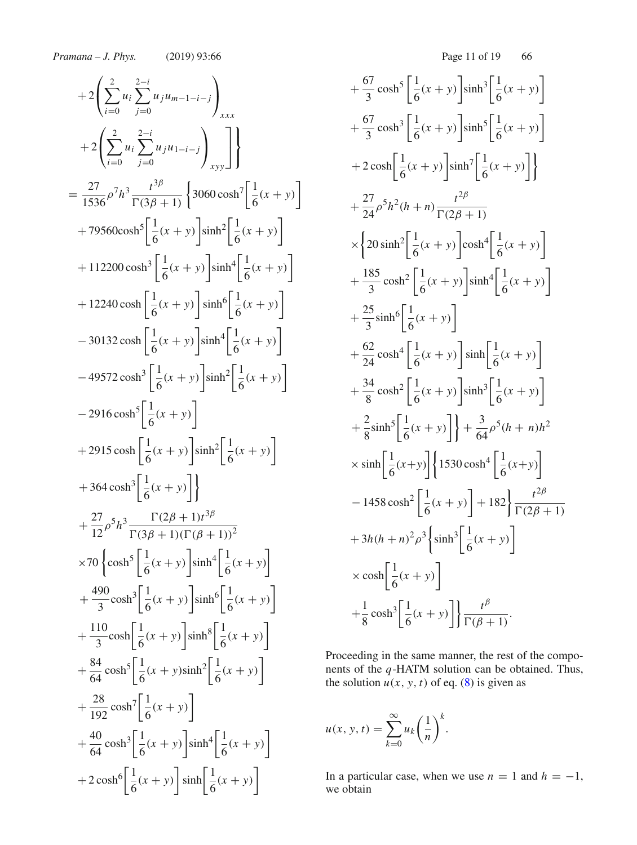+2
$$
\left(\sum_{i=0}^{2} u_{i} \sum_{j=0}^{2-i} u_{j} u_{m-1-i-j}\right)_{xxx}
$$
  
\n+2 $\left(\sum_{i=0}^{2} u_{i} \sum_{j=0}^{2-i} u_{j} u_{1-i-j}\right)_{x,y} \Bigg]$   
\n=  $\frac{27}{1536} \rho^{7} h^{3} \frac{t^{3\beta}}{\Gamma(3\beta + 1)} \left\{ 3060 \cosh^{7} \left[\frac{1}{6}(x + y)\right] + 79560 \cosh^{5} \left[\frac{1}{6}(x + y)\right] \sinh^{4} \left[\frac{1}{6}(x + y)\right] + 112200 \cosh^{3} \left[\frac{1}{6}(x + y)\right] \sinh^{4} \left[\frac{1}{6}(x + y)\right] + 12240 \cosh^{3} \left[\frac{1}{6}(x + y)\right] \sinh^{6} \left[\frac{1}{6}(x + y)\right] - 30132 \cosh^{3} \left[\frac{1}{6}(x + y)\right] \sinh^{6} \left[\frac{1}{6}(x + y)\right] - 49572 \cosh^{3} \left[\frac{1}{6}(x + y)\right] \sinh^{2} \left[\frac{1}{6}(x + y)\right] - 2916 \cosh^{5} \left[\frac{1}{6}(x + y)\right] \sinh^{2} \left[\frac{1}{6}(x + y)\right] + 2915 \cosh^{5} \left[\frac{1}{6}(x + y)\right] + 364 \cosh^{3} \left[\frac{1}{6}(x + y)\right] + \frac{27}{12} \rho^{5} h^{3} \frac{\Gamma(2\beta + 1)t^{3\beta}}{\Gamma(3\beta + 1)(\Gamma(\beta + 1))^{2}} + \frac{490}{12} \cosh^{5} \left[\frac{1}{6}(x + y)\right] \sinh^{4} \left[\frac{1}{6}(x + y)\right] + \frac{490}{3} \cosh^{3} \left[\frac{1}{6}(x + y)\right] \sinh^{6} \left[\frac{1}{6}(x + y)\right] + \frac{84}{3} \cosh^{5} \left[\frac{1}{6}(x + y)\right] \sinh^{8} \left[\frac{1}{6}(x + y)\right] + \frac{84}{64} \cosh^{5} \left[\frac{1}{6$ 

$$
+\frac{67}{3}\cosh^5\left[\frac{1}{6}(x+y)\right]\sinh^3\left[\frac{1}{6}(x+y)\right]
$$
  
+
$$
\frac{67}{3}\cosh^3\left[\frac{1}{6}(x+y)\right]\sinh^5\left[\frac{1}{6}(x+y)\right]
$$
  
+
$$
2\cosh\left[\frac{1}{6}(x+y)\right]\sinh^7\left[\frac{1}{6}(x+y)\right]
$$
  
+
$$
\frac{27}{24}\rho^5h^2(h+n)\frac{t^{2\beta}}{\Gamma(2\beta+1)}
$$
  

$$
\times\left\{20\sinh^2\left[\frac{1}{6}(x+y)\right]\cosh^4\left[\frac{1}{6}(x+y)\right]
$$
  
+
$$
\frac{185}{3}\cosh^2\left[\frac{1}{6}(x+y)\right]\sinh^4\left[\frac{1}{6}(x+y)\right]
$$
  
+
$$
\frac{25}{3}\sinh^6\left[\frac{1}{6}(x+y)\right]\sinh^6\left[\frac{1}{6}(x+y)\right]
$$
  
+
$$
\frac{62}{8}\cosh^4\left[\frac{1}{6}(x+y)\right]\sinh^3\left[\frac{1}{6}(x+y)\right]
$$
  
+
$$
\frac{34}{8}\cosh^2\left[\frac{1}{6}(x+y)\right]\sinh^3\left[\frac{1}{6}(x+y)\right]
$$
  
+
$$
\frac{2}{8}\sinh^5\left[\frac{1}{6}(x+y)\right]\left\{1530\cosh^4\left[\frac{1}{6}(x+y)\right]
$$
  
-
$$
1458\cosh^2\left[\frac{1}{6}(x+y)\right]+182\right\}\frac{t^{2\beta}}{\Gamma(2\beta+1)}
$$
  
+
$$
3h(h+n)^2\rho^3\left\{\sinh^3\left[\frac{1}{6}(x+y)\right]
$$
  

$$
\times \cosh\left[\frac{1}{6}(x+y)\right]
$$
  
+
$$
\frac{1}{8}\cosh^3\left[\frac{1}{6}(x+y)\right]
$$
  
+
$$
\frac{1}{8}\cosh^3\left[\frac{1}{6}(x+y)\right]
$$

Proceeding in the same manner, the rest of the components of the *q*-HATM solution can be obtained. Thus, the solution  $u(x, y, t)$  of eq. (8) is given as

$$
u(x, y, t) = \sum_{k=0}^{\infty} u_k \left(\frac{1}{n}\right)^k.
$$

In a particular case, when we use  $n = 1$  and  $h = -1$ , we obtain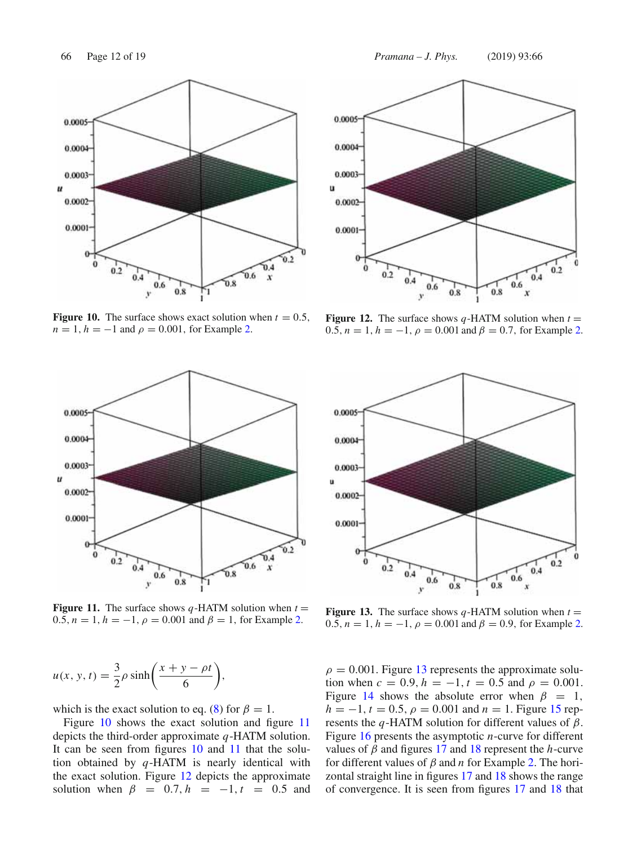

**Figure 10.** The surface shows exact solution when  $t = 0.5$ ,  $n = 1, h = -1$  and  $\rho = 0.001$ , for Example 2.



**Figure 11.** The surface shows  $q$ -HATM solution when  $t =$ 0.5,  $n = 1$ ,  $h = -1$ ,  $\rho = 0.001$  and  $\beta = 1$ , for Example 2.

$$
u(x, y, t) = \frac{3}{2}\rho \sinh\left(\frac{x+y-\rho t}{6}\right),
$$

which is the exact solution to eq. (8) for  $\beta = 1$ .

Figure 10 shows the exact solution and figure 11 depicts the third-order approximate *q*-HATM solution. It can be seen from figures 10 and 11 that the solution obtained by *q*-HATM is nearly identical with the exact solution. Figure 12 depicts the approximate solution when  $\beta = 0.7$ ,  $h = -1$ ,  $t = 0.5$  and



**Figure 12.** The surface shows  $q$ -HATM solution when  $t =$ 0.5,  $n = 1$ ,  $h = -1$ ,  $\rho = 0.001$  and  $\beta = 0.7$ , for Example 2.



**Figure 13.** The surface shows  $q$ -HATM solution when  $t =$ 0.5,  $n = 1$ ,  $h = -1$ ,  $\rho = 0.001$  and  $\beta = 0.9$ , for Example 2.

 $\rho = 0.001$ . Figure 13 represents the approximate solution when  $c = 0.9$ ,  $h = -1$ ,  $t = 0.5$  and  $\rho = 0.001$ . Figure 14 shows the absolute error when  $\beta = 1$ ,  $h = -1$ ,  $t = 0.5$ ,  $\rho = 0.001$  and  $n = 1$ . Figure 15 represents the *q*-HATM solution for different values of  $\beta$ . Figure 16 presents the asymptotic *n*-curve for different values of β and figures 17 and 18 represent the *h*-curve for different values of  $\beta$  and  $n$  for Example 2. The horizontal straight line in figures 17 and 18 shows the range of convergence. It is seen from figures 17 and 18 that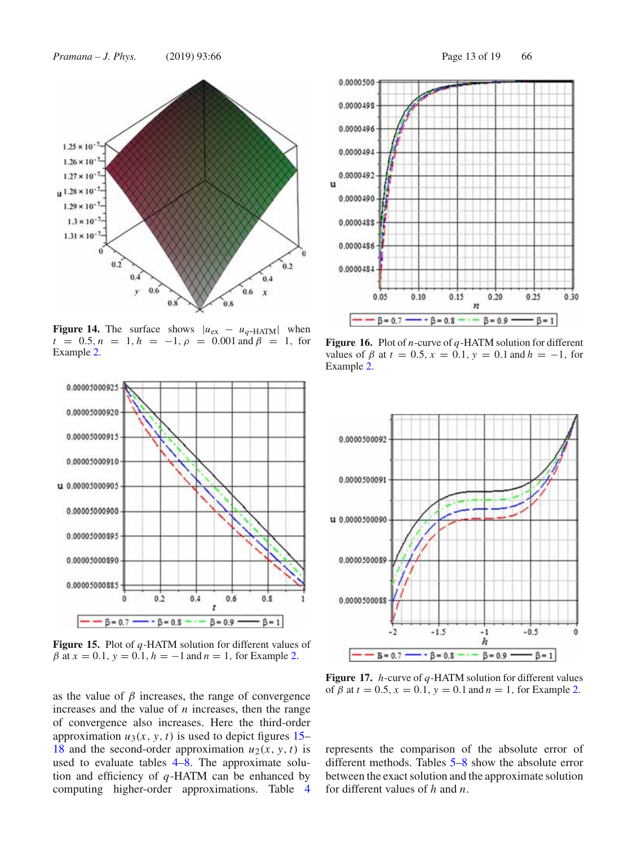*Pramana – J. Phys.* (2019) 93:66 Page 13 of 19 66



**Figure 14.** The surface shows  $|u_{\text{ex}} - u_q$ -HATM| when  $t = 0.5, n = 1, h = -1, \rho = 0.001$  and  $\beta = 1$ , for Example 2.



**Figure 15.** Plot of *q*-HATM solution for different values of  $β$  at  $x = 0.1$ ,  $y = 0.1$ ,  $h = -1$  and  $n = 1$ , for Example 2.

as the value of  $\beta$  increases, the range of convergence increases and the value of *n* increases, then the range of convergence also increases. Here the third-order approximation  $u_3(x, y, t)$  is used to depict figures 15– 18 and the second-order approximation  $u_2(x, y, t)$  is used to evaluate tables 4–8. The approximate solution and efficiency of *q*-HATM can be enhanced by computing higher-order approximations. Table 4



**Figure 16.** Plot of *n*-curve of *q*-HATM solution for different values of  $\beta$  at  $t = 0.5$ ,  $x = 0.1$ ,  $y = 0.1$  and  $h = -1$ , for Example 2.



**Figure 17.** *h*-curve of *q*-HATM solution for different values of  $\beta$  at  $t = 0.5$ ,  $x = 0.1$ ,  $y = 0.1$  and  $n = 1$ , for Example 2.

represents the comparison of the absolute error of different methods. Tables 5–8 show the absolute error between the exact solution and the approximate solution for different values of *h* and *n*.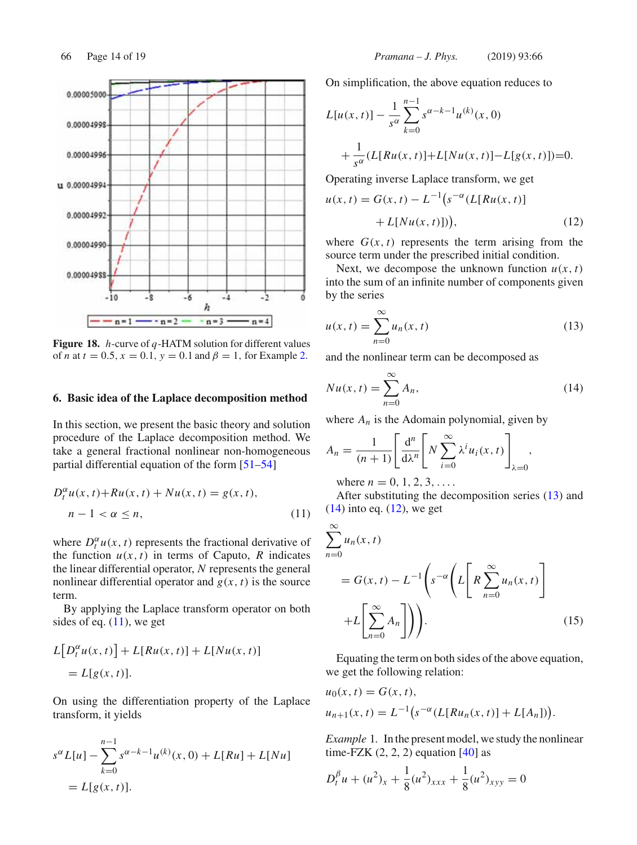

**Figure 18.** *h*-curve of *q*-HATM solution for different values of *n* at  $t = 0.5$ ,  $x = 0.1$ ,  $y = 0.1$  and  $\beta = 1$ , for Example 2.

### **6. Basic idea of the Laplace decomposition method**

In this section, we present the basic theory and solution procedure of the Laplace decomposition method. We take a general fractional nonlinear non-homogeneous partial differential equation of the form [51–54]

$$
D_t^{\alpha}u(x,t) + Ru(x,t) + Nu(x,t) = g(x,t),
$$
  
\n
$$
n - 1 < \alpha \le n,
$$
\n
$$
(11)
$$

where  $D_t^{\alpha} u(x, t)$  represents the fractional derivative of the function  $u(x, t)$  in terms of Caputo, *R* indicates the linear differential operator, *N* represents the general nonlinear differential operator and  $g(x, t)$  is the source term.

By applying the Laplace transform operator on both sides of eq.  $(11)$ , we get

$$
L[D_t^{\alpha}u(x, t)] + L[Ru(x, t)] + L[Nu(x, t)]
$$
  
= L[g(x, t)].

On using the differentiation property of the Laplace transform, it yields

$$
s^{\alpha}L[u] - \sum_{k=0}^{n-1} s^{\alpha-k-1}u^{(k)}(x,0) + L[Ru] + L[Nu]
$$
  
=  $L[g(x,t)].$ 

On simplification, the above equation reduces to

$$
L[u(x, t)] - \frac{1}{s^{\alpha}} \sum_{k=0}^{n-1} s^{\alpha - k - 1} u^{(k)}(x, 0)
$$
  
+ 
$$
\frac{1}{s^{\alpha}} (L[Ru(x, t)] + L[Nu(x, t)] - L[g(x, t)]) = 0.
$$

Operating inverse Laplace transform, we get

$$
u(x, t) = G(x, t) - L^{-1} \big( s^{-\alpha} (L[Ru(x, t)] + L[Nu(x, t)] \big), \tag{12}
$$

where  $G(x, t)$  represents the term arising from the source term under the prescribed initial condition.

Next, we decompose the unknown function  $u(x, t)$ into the sum of an infinite number of components given by the series

$$
u(x,t) = \sum_{n=0}^{\infty} u_n(x,t)
$$
 (13)

and the nonlinear term can be decomposed as

$$
Nu(x,t) = \sum_{n=0}^{\infty} A_n,
$$
\n(14)

where  $A_n$  is the Adomain polynomial, given by

$$
A_n = \frac{1}{(n+1)} \left[ \frac{d^n}{d\lambda^n} \left[ N \sum_{i=0}^{\infty} \lambda^i u_i(x, t) \right]_{\lambda=0} \right],
$$

where  $n = 0, 1, 2, 3, \ldots$ .

After substituting the decomposition series (13) and  $(14)$  into eq.  $(12)$ , we get

$$
\sum_{n=0}^{\infty} u_n(x, t)
$$
  
=  $G(x, t) - L^{-1} \left( s^{-\alpha} \left( L \left[ R \sum_{n=0}^{\infty} u_n(x, t) \right] + L \left[ \sum_{n=0}^{\infty} A_n \right] \right) \right).$  (15)

Equating the term on both sides of the above equation, we get the following relation:

$$
u_0(x, t) = G(x, t),
$$
  
\n
$$
u_{n+1}(x, t) = L^{-1}(s^{-\alpha}(L[Ru_n(x, t)] + L[A_n])).
$$

*Example* 1*.* In the present model, we study the nonlinear time-FZK  $(2, 2, 2)$  equation  $[40]$  as

$$
D_t^{\beta} u + (u^2)_x + \frac{1}{8}(u^2)_{xxx} + \frac{1}{8}(u^2)_{xyy} = 0
$$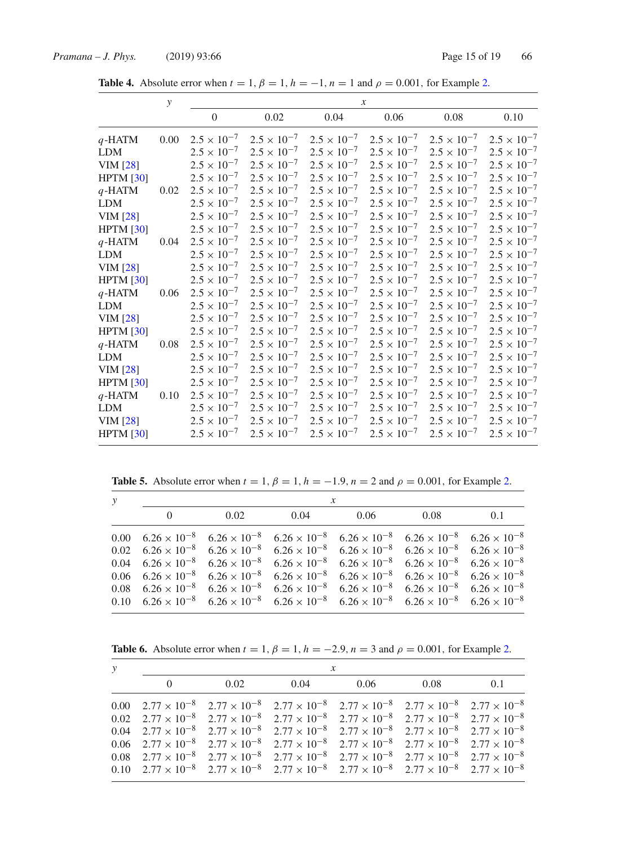**Table 4.** Absolute error when  $t = 1$ ,  $\beta = 1$ ,  $h = -1$ ,  $n = 1$  and  $\rho = 0.001$ , for Example 2.

|                  | $\mathcal{Y}$ | $\boldsymbol{x}$     |                      |                      |                      |                      |                      |
|------------------|---------------|----------------------|----------------------|----------------------|----------------------|----------------------|----------------------|
|                  |               | $\overline{0}$       | 0.02                 | 0.04                 | 0.06                 | 0.08                 | 0.10                 |
| $q$ -HATM        | 0.00          | $2.5 \times 10^{-7}$ | $2.5 \times 10^{-7}$ | $2.5 \times 10^{-7}$ | $2.5 \times 10^{-7}$ | $2.5 \times 10^{-7}$ | $2.5 \times 10^{-7}$ |
| <b>LDM</b>       |               | $2.5 \times 10^{-7}$ | $2.5 \times 10^{-7}$ | $2.5 \times 10^{-7}$ | $2.5 \times 10^{-7}$ | $2.5 \times 10^{-7}$ | $2.5 \times 10^{-7}$ |
| <b>VIM</b> [28]  |               | $2.5 \times 10^{-7}$ | $2.5 \times 10^{-7}$ | $2.5 \times 10^{-7}$ | $2.5 \times 10^{-7}$ | $2.5 \times 10^{-7}$ | $2.5 \times 10^{-7}$ |
| HPTM [30]        |               | $2.5 \times 10^{-7}$ | $2.5 \times 10^{-7}$ | $2.5 \times 10^{-7}$ | $2.5 \times 10^{-7}$ | $2.5 \times 10^{-7}$ | $2.5 \times 10^{-7}$ |
| $q$ -HATM        | 0.02          | $2.5 \times 10^{-7}$ | $2.5 \times 10^{-7}$ | $2.5 \times 10^{-7}$ | $2.5 \times 10^{-7}$ | $2.5 \times 10^{-7}$ | $2.5 \times 10^{-7}$ |
| <b>LDM</b>       |               | $2.5 \times 10^{-7}$ | $2.5 \times 10^{-7}$ | $2.5 \times 10^{-7}$ | $2.5 \times 10^{-7}$ | $2.5 \times 10^{-7}$ | $2.5 \times 10^{-7}$ |
| <b>VIM</b> [28]  |               | $2.5 \times 10^{-7}$ | $2.5 \times 10^{-7}$ | $2.5 \times 10^{-7}$ | $2.5 \times 10^{-7}$ | $2.5 \times 10^{-7}$ | $2.5 \times 10^{-7}$ |
| <b>HPTM</b> [30] |               | $2.5 \times 10^{-7}$ | $2.5 \times 10^{-7}$ | $2.5 \times 10^{-7}$ | $2.5 \times 10^{-7}$ | $2.5 \times 10^{-7}$ | $2.5 \times 10^{-7}$ |
| $q$ -HATM        | 0.04          | $2.5 \times 10^{-7}$ | $2.5 \times 10^{-7}$ | $2.5 \times 10^{-7}$ | $2.5 \times 10^{-7}$ | $2.5 \times 10^{-7}$ | $2.5 \times 10^{-7}$ |
| <b>LDM</b>       |               | $2.5 \times 10^{-7}$ | $2.5 \times 10^{-7}$ | $2.5 \times 10^{-7}$ | $2.5 \times 10^{-7}$ | $2.5 \times 10^{-7}$ | $2.5 \times 10^{-7}$ |
| <b>VIM</b> [28]  |               | $2.5 \times 10^{-7}$ | $2.5 \times 10^{-7}$ | $2.5 \times 10^{-7}$ | $2.5 \times 10^{-7}$ | $2.5 \times 10^{-7}$ | $2.5 \times 10^{-7}$ |
| HPTM [30]        |               | $2.5 \times 10^{-7}$ | $2.5 \times 10^{-7}$ | $2.5 \times 10^{-7}$ | $2.5 \times 10^{-7}$ | $2.5 \times 10^{-7}$ | $2.5 \times 10^{-7}$ |
| $q$ -HATM        | 0.06          | $2.5 \times 10^{-7}$ | $2.5 \times 10^{-7}$ | $2.5 \times 10^{-7}$ | $2.5 \times 10^{-7}$ | $2.5 \times 10^{-7}$ | $2.5 \times 10^{-7}$ |
| <b>LDM</b>       |               | $2.5 \times 10^{-7}$ | $2.5 \times 10^{-7}$ | $2.5 \times 10^{-7}$ | $2.5 \times 10^{-7}$ | $2.5 \times 10^{-7}$ | $2.5 \times 10^{-7}$ |
| <b>VIM</b> [28]  |               | $2.5 \times 10^{-7}$ | $2.5 \times 10^{-7}$ | $2.5 \times 10^{-7}$ | $2.5 \times 10^{-7}$ | $2.5 \times 10^{-7}$ | $2.5 \times 10^{-7}$ |
| HPTM [30]        |               | $2.5 \times 10^{-7}$ | $2.5 \times 10^{-7}$ | $2.5 \times 10^{-7}$ | $2.5 \times 10^{-7}$ | $2.5 \times 10^{-7}$ | $2.5 \times 10^{-7}$ |
| $q$ -HATM        | 0.08          | $2.5 \times 10^{-7}$ | $2.5 \times 10^{-7}$ | $2.5 \times 10^{-7}$ | $2.5 \times 10^{-7}$ | $2.5 \times 10^{-7}$ | $2.5 \times 10^{-7}$ |
| <b>LDM</b>       |               | $2.5 \times 10^{-7}$ | $2.5 \times 10^{-7}$ | $2.5 \times 10^{-7}$ | $2.5 \times 10^{-7}$ | $2.5 \times 10^{-7}$ | $2.5 \times 10^{-7}$ |
| <b>VIM</b> [28]  |               | $2.5 \times 10^{-7}$ | $2.5 \times 10^{-7}$ | $2.5 \times 10^{-7}$ | $2.5 \times 10^{-7}$ | $2.5 \times 10^{-7}$ | $2.5 \times 10^{-7}$ |
| HPTM [30]        |               | $2.5 \times 10^{-7}$ | $2.5 \times 10^{-7}$ | $2.5 \times 10^{-7}$ | $2.5 \times 10^{-7}$ | $2.5 \times 10^{-7}$ | $2.5 \times 10^{-7}$ |
| $q$ -HATM        | 0.10          | $2.5 \times 10^{-7}$ | $2.5 \times 10^{-7}$ | $2.5 \times 10^{-7}$ | $2.5 \times 10^{-7}$ | $2.5 \times 10^{-7}$ | $2.5 \times 10^{-7}$ |
| <b>LDM</b>       |               | $2.5 \times 10^{-7}$ | $2.5 \times 10^{-7}$ | $2.5 \times 10^{-7}$ | $2.5 \times 10^{-7}$ | $2.5 \times 10^{-7}$ | $2.5 \times 10^{-7}$ |
| <b>VIM</b> [28]  |               | $2.5 \times 10^{-7}$ | $2.5 \times 10^{-7}$ | $2.5 \times 10^{-7}$ | $2.5 \times 10^{-7}$ | $2.5 \times 10^{-7}$ | $2.5 \times 10^{-7}$ |
| HPTM [30]        |               | $2.5 \times 10^{-7}$ | $2.5 \times 10^{-7}$ | $2.5 \times 10^{-7}$ | $2.5 \times 10^{-7}$ | $2.5 \times 10^{-7}$ | $2.5 \times 10^{-7}$ |

**Table 5.** Absolute error when  $t = 1$ ,  $\beta = 1$ ,  $h = -1.9$ ,  $n = 2$  and  $\rho = 0.001$ , for Example 2.

| $\mathcal{Y}$ | $\mathcal{X}$ |             |  |                                                                                                                                                                    |      |     |  |
|---------------|---------------|-------------|--|--------------------------------------------------------------------------------------------------------------------------------------------------------------------|------|-----|--|
|               | $\theta$      | $0.02$ 0.04 |  | 0.06                                                                                                                                                               | 0.08 | 0.1 |  |
|               |               |             |  | 0.00 $6.26 \times 10^{-8}$ $6.26 \times 10^{-8}$ $6.26 \times 10^{-8}$ $6.26 \times 10^{-8}$ $6.26 \times 10^{-8}$ $6.26 \times 10^{-8}$                           |      |     |  |
|               |               |             |  | $0.02 \quad 6.26 \times 10^{-8} \quad 6.26 \times 10^{-8} \quad 6.26 \times 10^{-8} \quad 6.26 \times 10^{-8} \quad 6.26 \times 10^{-8} \quad 6.26 \times 10^{-8}$ |      |     |  |
|               |               |             |  | $0.04 \quad 6.26 \times 10^{-8} \quad 6.26 \times 10^{-8} \quad 6.26 \times 10^{-8} \quad 6.26 \times 10^{-8} \quad 6.26 \times 10^{-8} \quad 6.26 \times 10^{-8}$ |      |     |  |
|               |               |             |  | $0.06 \quad 6.26 \times 10^{-8} \quad 6.26 \times 10^{-8} \quad 6.26 \times 10^{-8} \quad 6.26 \times 10^{-8} \quad 6.26 \times 10^{-8} \quad 6.26 \times 10^{-8}$ |      |     |  |
|               |               |             |  | $0.08$ $6.26 \times 10^{-8}$ $6.26 \times 10^{-8}$ $6.26 \times 10^{-8}$ $6.26 \times 10^{-8}$ $6.26 \times 10^{-8}$ $6.26 \times 10^{-8}$                         |      |     |  |
|               |               |             |  | 0.10 $6.26 \times 10^{-8}$ $6.26 \times 10^{-8}$ $6.26 \times 10^{-8}$ $6.26 \times 10^{-8}$ $6.26 \times 10^{-8}$ $6.26 \times 10^{-8}$                           |      |     |  |

**Table 6.** Absolute error when  $t = 1$ ,  $\beta = 1$ ,  $h = -2.9$ ,  $n = 3$  and  $\rho = 0.001$ , for Example 2.

| $\mathcal{Y}$ | $\mathcal{X}$ |  |  |                                                                                                                                                                    |  |  |  |  |
|---------------|---------------|--|--|--------------------------------------------------------------------------------------------------------------------------------------------------------------------|--|--|--|--|
|               |               |  |  | 0 		 0.02 		 0.04 	 0.06 	 0.08 	 0.1                                                                                                                              |  |  |  |  |
|               |               |  |  | 0.00 $2.77 \times 10^{-8}$ $2.77 \times 10^{-8}$ $2.77 \times 10^{-8}$ $2.77 \times 10^{-8}$ $2.77 \times 10^{-8}$ $2.77 \times 10^{-8}$                           |  |  |  |  |
|               |               |  |  | $0.02 \quad 2.77 \times 10^{-8} \quad 2.77 \times 10^{-8} \quad 2.77 \times 10^{-8} \quad 2.77 \times 10^{-8} \quad 2.77 \times 10^{-8} \quad 2.77 \times 10^{-8}$ |  |  |  |  |
|               |               |  |  | $0.04 \quad 2.77 \times 10^{-8} \quad 2.77 \times 10^{-8} \quad 2.77 \times 10^{-8} \quad 2.77 \times 10^{-8} \quad 2.77 \times 10^{-8} \quad 2.77 \times 10^{-8}$ |  |  |  |  |
|               |               |  |  | $0.06 \quad 2.77 \times 10^{-8} \quad 2.77 \times 10^{-8} \quad 2.77 \times 10^{-8} \quad 2.77 \times 10^{-8} \quad 2.77 \times 10^{-8} \quad 2.77 \times 10^{-8}$ |  |  |  |  |
|               |               |  |  | $0.08$ $2.77 \times 10^{-8}$ $2.77 \times 10^{-8}$ $2.77 \times 10^{-8}$ $2.77 \times 10^{-8}$ $2.77 \times 10^{-8}$ $2.77 \times 10^{-8}$                         |  |  |  |  |
|               |               |  |  | 0.10 $2.77 \times 10^{-8}$ $2.77 \times 10^{-8}$ $2.77 \times 10^{-8}$ $2.77 \times 10^{-8}$ $2.77 \times 10^{-8}$ $2.77 \times 10^{-8}$                           |  |  |  |  |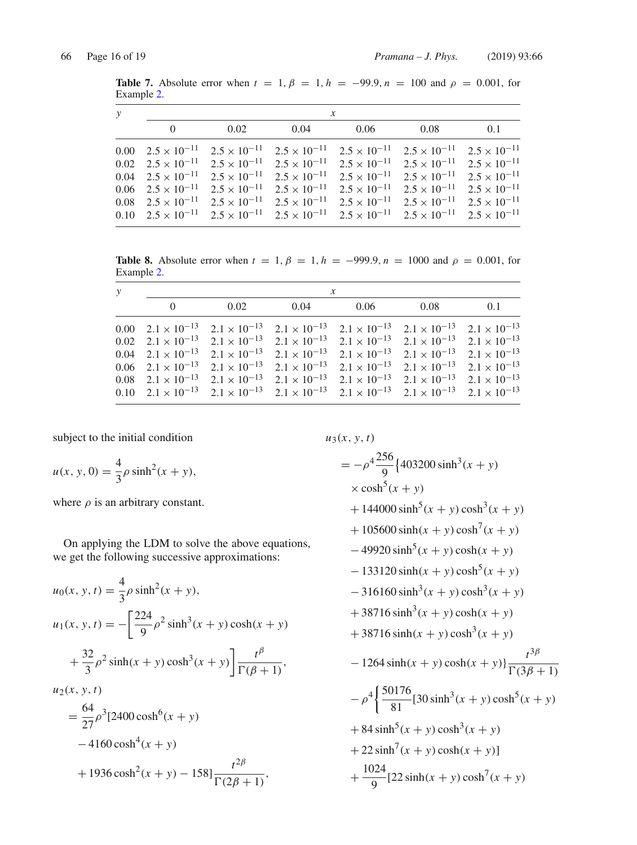**Table 7.** Absolute error when  $t = 1, \beta = 1, h = -99.9, n = 100$  and  $\rho = 0.001$ , for Example 2.

| $\mathcal{Y}$ | $\mathcal{X}$ |  |                                                                                                                                                                |  |  |     |  |
|---------------|---------------|--|----------------------------------------------------------------------------------------------------------------------------------------------------------------|--|--|-----|--|
|               | $\theta$      |  | $0.02 \t\t 0.04 \t\t 0.06 \t\t 0.08$                                                                                                                           |  |  | 0.1 |  |
|               |               |  | 0.00 $2.5 \times 10^{-11}$ $2.5 \times 10^{-11}$ $2.5 \times 10^{-11}$ $2.5 \times 10^{-11}$ $2.5 \times 10^{-11}$ $2.5 \times 10^{-11}$                       |  |  |     |  |
|               |               |  | 0.02 $2.5 \times 10^{-11}$ $2.5 \times 10^{-11}$ $2.5 \times 10^{-11}$ $2.5 \times 10^{-11}$ $2.5 \times 10^{-11}$ $2.5 \times 10^{-11}$                       |  |  |     |  |
|               |               |  | $0.04$ $2.5 \times 10^{-11}$ $2.5 \times 10^{-11}$ $2.5 \times 10^{-11}$ $2.5 \times 10^{-11}$ $2.5 \times 10^{-11}$ $2.5 \times 10^{-11}$                     |  |  |     |  |
|               |               |  | 0.06 $2.5 \times 10^{-11}$ $2.5 \times 10^{-11}$ $2.5 \times 10^{-11}$ $2.5 \times 10^{-11}$ $2.5 \times 10^{-11}$ $2.5 \times 10^{-11}$                       |  |  |     |  |
|               |               |  | $0.08$ $2.5 \times 10^{-11}$ $2.5 \times 10^{-11}$ $2.5 \times 10^{-11}$ $2.5 \times 10^{-11}$ $2.5 \times 10^{-11}$ $2.5 \times 10^{-11}$                     |  |  |     |  |
|               |               |  | 0.10 $2.5 \times 10^{-11}$ $2.5 \times 10^{-11}$ $2.5 \times 10^{-11}$ $2.5 \times 10^{-11}$ $2.5 \times 10^{-11}$ $2.5 \times 10^{-11}$ $2.5 \times 10^{-11}$ |  |  |     |  |

**Table 8.** Absolute error when  $t = 1$ ,  $\beta = 1$ ,  $h = -999.9$ ,  $n = 1000$  and  $\rho = 0.001$ , for Example 2.

| у | $\mathcal{X}$ |      |                                                                                                                                                                |      |      |     |  |
|---|---------------|------|----------------------------------------------------------------------------------------------------------------------------------------------------------------|------|------|-----|--|
|   | $\theta$      | 0.02 | 0.04                                                                                                                                                           | 0.06 | 0.08 | 0.1 |  |
|   |               |      | 0.00 $2.1 \times 10^{-13}$ $2.1 \times 10^{-13}$ $2.1 \times 10^{-13}$ $2.1 \times 10^{-13}$ $2.1 \times 10^{-13}$ $2.1 \times 10^{-13}$                       |      |      |     |  |
|   |               |      | 0.02 $2.1 \times 10^{-13}$ $2.1 \times 10^{-13}$ $2.1 \times 10^{-13}$ $2.1 \times 10^{-13}$ $2.1 \times 10^{-13}$ $2.1 \times 10^{-13}$                       |      |      |     |  |
|   |               |      | 0.04 $2.1 \times 10^{-13}$ $2.1 \times 10^{-13}$ $2.1 \times 10^{-13}$ $2.1 \times 10^{-13}$ $2.1 \times 10^{-13}$ $2.1 \times 10^{-13}$                       |      |      |     |  |
|   |               |      | 0.06 $2.1 \times 10^{-13}$ $2.1 \times 10^{-13}$ $2.1 \times 10^{-13}$ $2.1 \times 10^{-13}$ $2.1 \times 10^{-13}$ $2.1 \times 10^{-13}$                       |      |      |     |  |
|   |               |      | 0.08 $2.1 \times 10^{-13}$ $2.1 \times 10^{-13}$ $2.1 \times 10^{-13}$ $2.1 \times 10^{-13}$ $2.1 \times 10^{-13}$ $2.1 \times 10^{-13}$                       |      |      |     |  |
|   |               |      | 0.10 $2.1 \times 10^{-13}$ $2.1 \times 10^{-13}$ $2.1 \times 10^{-13}$ $2.1 \times 10^{-13}$ $2.1 \times 10^{-13}$ $2.1 \times 10^{-13}$ $2.1 \times 10^{-13}$ |      |      |     |  |

subject to the initial condition

$$
u(x, y, 0) = \frac{4}{3}\rho \sinh^{2}(x + y),
$$

where  $\rho$  is an arbitrary constant.

On applying the LDM to solve the above equations, we get the following successive approximations:

$$
u_0(x, y, t) = \frac{4}{3}\rho \sinh^2(x + y),
$$
  
\n
$$
u_1(x, y, t) = -\left[\frac{224}{9}\rho^2 \sinh^3(x + y) \cosh(x + y) + \frac{32}{3}\rho^2 \sinh(x + y) \cosh^3(x + y)\right] \frac{t^{\beta}}{\Gamma(\beta + 1)},
$$
  
\n
$$
u_2(x, y, t)
$$

$$
= \frac{64}{27} \rho^3 [2400 \cosh^6(x+y) -4160 \cosh^4(x+y) +1936 \cosh^2(x+y) -158] \frac{t^{2\beta}}{\Gamma(2\beta+1)},
$$

 $u_3(x, y, t)$  $=-\rho^4 \frac{256}{9}$  $\left\{403200\sinh^3(x+y)\right\}$  $\times$  cosh<sup>5</sup> $(x + y)$  $+ 144000 \sinh^{5}(x + y) \cosh^{3}(x + y)$  $+ 105600 \sinh(x + y) \cosh^{7}(x + y)$  $-49920 \sinh^{5}(x+y) \cosh(x+y)$  $-133120 \sinh(x + y) \cosh^{5}(x + y)$  $-316160 \sinh^3(x+y) \cosh^3(x+y)$  $+ 38716 \sinh^3(x + y) \cosh(x + y)$  $+ 38716 \sinh(x + y) \cosh^{3}(x + y)$  $-1264 \sinh(x + y) \cosh(x + y)$ } *t*3<sup>β</sup>  $\Gamma(3\beta + 1)$  $-\rho^4 \left\{ \frac{50176}{81} [30 \sinh^3(x+y) \cosh^5(x+y) \right\}$  $+ 84 \sinh^{5}(x + y) \cosh^{3}(x + y)$  $+ 22 \sinh^{7}(x + y) \cosh(x + y)$  $^{+}$  $\frac{1024}{9}$ [22 sinh(*x* + *y*) cosh<sup>7</sup>(*x* + *y*)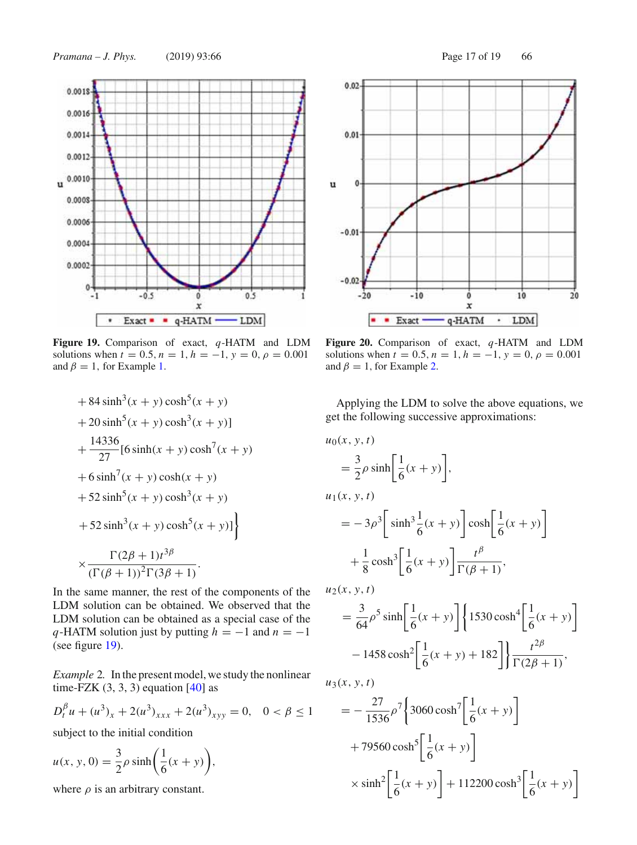

**Figure 19.** Comparison of exact, *q*-HATM and LDM solutions when  $t = 0.5$ ,  $n = 1$ ,  $h = -1$ ,  $y = 0$ ,  $\rho = 0.001$ and  $\beta = 1$ , for Example 1.

+ 84 sinh<sup>3</sup>(x + y) cosh<sup>5</sup>(x + y)  
+ 20 sinh<sup>5</sup>(x + y) cosh<sup>3</sup>(x + y)]  
+ 
$$
\frac{14336}{27}
$$
 [6 sinh(x + y) cosh<sup>7</sup>(x + y)  
+ 6 sinh<sup>7</sup>(x + y) cosh(x + y)  
+ 52 sinh<sup>5</sup>(x + y) cosh<sup>3</sup>(x + y)  
+ 52 sinh<sup>3</sup>(x + y) cosh<sup>5</sup>(x + y)]  
+  $\frac{\Gamma(2\beta + 1)t^{3\beta}}{(\Gamma(\beta + 1))^2 \Gamma(3\beta + 1)}$ .

In the same manner, the rest of the components of the LDM solution can be obtained. We observed that the LDM solution can be obtained as a special case of the *q*-HATM solution just by putting  $h = -1$  and  $n = -1$ (see figure 19).

*Example* 2*.* In the present model, we study the nonlinear time-FZK  $(3, 3, 3)$  equation  $[40]$  as

$$
D_t^{\beta} u + (u^3)_x + 2(u^3)_{xxx} + 2(u^3)_{xyy} = 0, \quad 0 < \beta \le 1
$$

subject to the initial condition

$$
u(x, y, 0) = \frac{3}{2}\rho \sinh\left(\frac{1}{6}(x+y)\right),
$$

where  $\rho$  is an arbitrary constant.



solutions when  $t = 0.5$ ,  $n = 1$ ,  $h = -1$ ,  $y = 0$ ,  $\rho = 0.001$ and  $\beta = 1$ , for Example 2.

ó

 $\dot{x}$ 

q-HATM

10

LDM

 $\blacksquare$ 

 $20$ 

**Figure 20.** Comparison of exact, *q*-HATM and LDM

 $-10$ 

 $\blacksquare$  Exact  $\blacksquare$ 

Applying the LDM to solve the above equations, we get the following successive approximations:

$$
u_0(x, y, t)
$$
  
\n
$$
= \frac{3}{2}\rho \sinh\left[\frac{1}{6}(x+y)\right],
$$
  
\n
$$
u_1(x, y, t)
$$
  
\n
$$
= -3\rho^3 \left[\sinh^3 \frac{1}{6}(x+y)\right] \cosh\left[\frac{1}{6}(x+y)\right]
$$
  
\n
$$
+ \frac{1}{8}\cosh^3\left[\frac{1}{6}(x+y)\right] \frac{t^\beta}{\Gamma(\beta+1)},
$$
  
\n
$$
u_2(x, y, t)
$$
  
\n
$$
= \frac{3}{64}\rho^5 \sinh\left[\frac{1}{6}(x+y)\right] \left\{1530 \cosh^4\left[\frac{1}{6}(x+y)\right]\right\}
$$

 $u_3(x, y, t)$ 

 $\overline{u}$ 

 $00 -$ 

 $\dot{20}$ 

 $-1458 \cosh^2 \left[ \frac{1}{6} \right]$ 

$$
= -\frac{27}{1536} \rho^7 \left\{ 3060 \cosh^7 \left[ \frac{1}{6} (x+y) \right] + 79560 \cosh^5 \left[ \frac{1}{6} (x+y) \right] \right\}
$$
  
 
$$
\times \sinh^2 \left[ \frac{1}{6} (x+y) \right] + 112200 \cosh^3 \left[ \frac{1}{6} (x+y) \right]
$$

 $\frac{1}{6}(x+y) + 182$   $\left[\frac{t^{2\beta}}{\Gamma(2\beta+1)},\right]$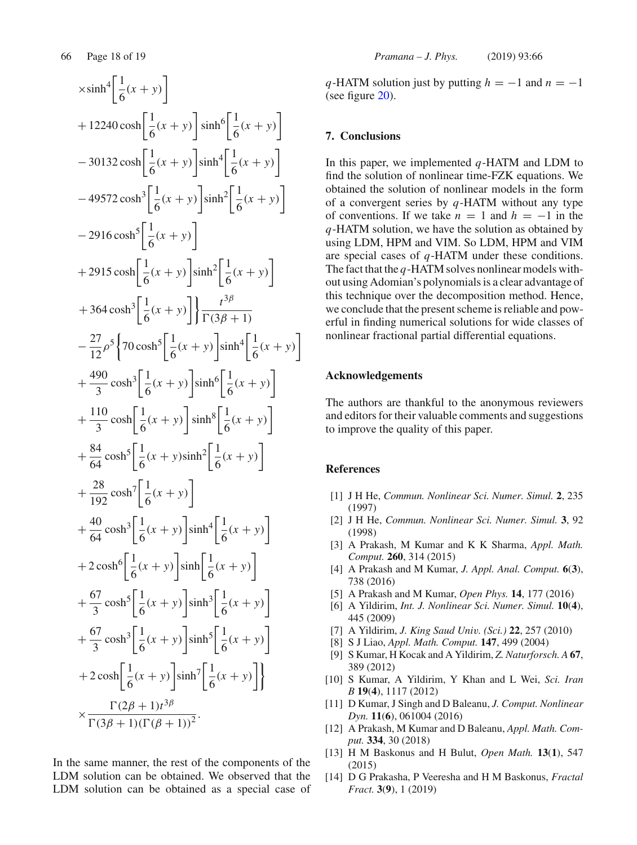$$
\begin{aligned}\n&\times \sinh^4 \left[\frac{1}{6}(x+y)\right] \\
&+ 12240 \cosh \left[\frac{1}{6}(x+y)\right] \sinh^6 \left[\frac{1}{6}(x+y)\right] \\
&- 30132 \cosh \left[\frac{1}{6}(x+y)\right] \sinh^4 \left[\frac{1}{6}(x+y)\right] \\
&- 49572 \cosh^3 \left[\frac{1}{6}(x+y)\right] \sinh^2 \left[\frac{1}{6}(x+y)\right] \\
&+ 2915 \cosh \left[\frac{1}{6}(x+y)\right] \sinh^2 \left[\frac{1}{6}(x+y)\right] \\
&+ 2915 \cosh \left[\frac{1}{6}(x+y)\right] \sinh^2 \left[\frac{1}{6}(x+y)\right] \\
&+ 364 \cosh^3 \left[\frac{1}{6}(x+y)\right] \sinh^4 \left[\frac{1}{6}(x+y)\right] \\
&+ \frac{27}{12} \rho^5 \left\{70 \cosh^5 \left[\frac{1}{6}(x+y)\right] \sinh^6 \left[\frac{1}{6}(x+y)\right] \\
&+ \frac{490}{3} \cosh^3 \left[\frac{1}{6}(x+y)\right] \sinh^8 \left[\frac{1}{6}(x+y)\right] \\
&+ \frac{84}{3} \cosh^5 \left[\frac{1}{6}(x+y)\right] \sinh^8 \left[\frac{1}{6}(x+y)\right] \\
&+ \frac{84}{192} \cosh^7 \left[\frac{1}{6}(x+y)\right] \sinh^2 \left[\frac{1}{6}(x+y)\right] \\
&+ 2 \cosh^6 \left[\frac{1}{6}(x+y)\right] \sinh^4 \left[\frac{1}{6}(x+y)\right] \\
&+ 2 \cosh^6 \left[\frac{1}{6}(x+y)\right] \sinh^3 \left[\frac{1}{6}(x+y)\right] \\
&+ \frac{67}{3} \cosh^5 \left[\frac{1}{6}(x+y)\right] \sinh^3 \left[\frac{1}{6}(x+y)\right] \\
&+ 2 \cosh^6 \left[\frac{1}{6}(x+y)\right] \sinh^7 \left[\frac{1}{6}(x+y)\right] \\
&+ 2 \cosh^6 \left[\frac{1}{6}(x+y)\right] \sinh^7 \left[\frac{1}{6}(x+y)\right] \\
&+ 2 \cosh^6 \left[\frac{1}{6}(x+y)\right] \sinh^7 \left
$$

In the same manner, the rest of the components of the LDM solution can be obtained. We observed that the LDM solution can be obtained as a special case of *q*-HATM solution just by putting  $h = -1$  and  $n = -1$ (see figure 20).

## **7. Conclusions**

In this paper, we implemented *q*-HATM and LDM to find the solution of nonlinear time-FZK equations. We obtained the solution of nonlinear models in the form of a convergent series by *q*-HATM without any type of conventions. If we take  $n = 1$  and  $h = -1$  in the *q*-HATM solution, we have the solution as obtained by using LDM, HPM and VIM. So LDM, HPM and VIM are special cases of *q*-HATM under these conditions. The fact that the *q*-HATM solves nonlinear models without using Adomian's polynomials is a clear advantage of this technique over the decomposition method. Hence, we conclude that the present scheme is reliable and powerful in finding numerical solutions for wide classes of nonlinear fractional partial differential equations.

#### **Acknowledgements**

The authors are thankful to the anonymous reviewers and editors for their valuable comments and suggestions to improve the quality of this paper.

#### **References**

- [1] J H He, *Commun. Nonlinear Sci. Numer. Simul.* **2**, 235 (1997)
- [2] J H He, *Commun. Nonlinear Sci. Numer. Simul.* **3**, 92 (1998)
- [3] A Prakash, M Kumar and K K Sharma, *Appl. Math. Comput.* **260**, 314 (2015)
- [4] A Prakash and M Kumar, *J. Appl. Anal. Comput.* **6**(**3**), 738 (2016)
- [5] A Prakash and M Kumar, *Open Phys.* **14**, 177 (2016)
- [6] A Yildirim, *Int. J. Nonlinear Sci. Numer. Simul.* **10**(**4**), 445 (2009)
- [7] A Yildirim, *J. King Saud Univ. (Sci.)* **22**, 257 (2010)
- [8] S J Liao, *Appl. Math. Comput.* **147**, 499 (2004)
- [9] S Kumar, H Kocak and A Yildirim, *Z. Naturforsch. A* **67**, 389 (2012)
- [10] S Kumar, A Yildirim, Y Khan and L Wei, *Sci. Iran B* **19**(**4**), 1117 (2012)
- [11] D Kumar, J Singh and D Baleanu, *J. Comput. Nonlinear Dyn.* **11**(**6**), 061004 (2016)
- [12] A Prakash, M Kumar and D Baleanu, *Appl. Math. Comput.* **334**, 30 (2018)
- [13] H M Baskonus and H Bulut, *Open Math.* **13**(**1**), 547 (2015)
- [14] D G Prakasha, P Veeresha and H M Baskonus, *Fractal Fract.* **3**(**9**), 1 (2019)